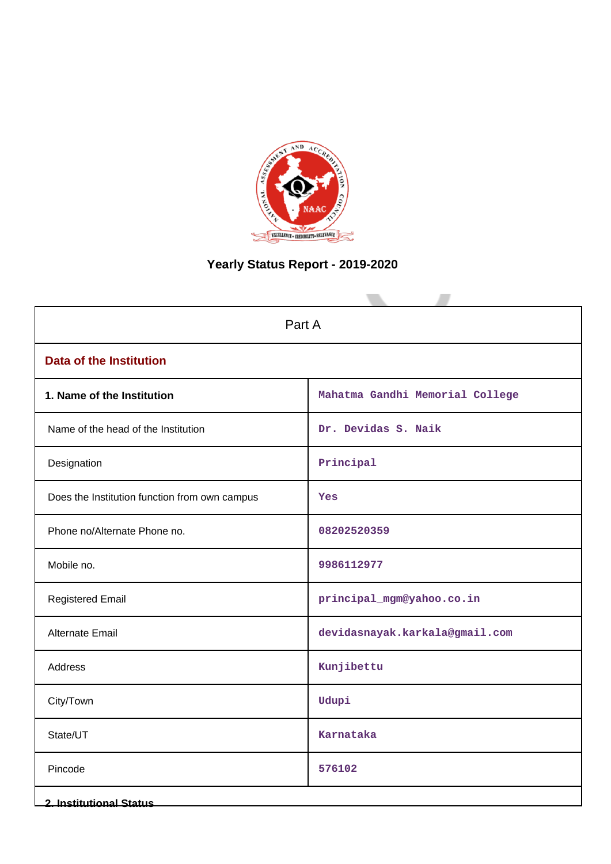

# **Yearly Status Report - 2019-2020**

| Part A                                        |                                 |  |  |
|-----------------------------------------------|---------------------------------|--|--|
| <b>Data of the Institution</b>                |                                 |  |  |
| 1. Name of the Institution                    | Mahatma Gandhi Memorial College |  |  |
| Name of the head of the Institution           | Dr. Devidas S. Naik             |  |  |
| Designation                                   | Principal                       |  |  |
| Does the Institution function from own campus | Yes                             |  |  |
| Phone no/Alternate Phone no.                  | 08202520359                     |  |  |
| Mobile no.                                    | 9986112977                      |  |  |
| <b>Registered Email</b>                       | principal_mgm@yahoo.co.in       |  |  |
| Alternate Email                               | devidasnayak.karkala@gmail.com  |  |  |
| <b>Address</b>                                | Kunjibettu                      |  |  |
| City/Town                                     | Udupi                           |  |  |
| State/UT                                      | Karnataka                       |  |  |
| Pincode                                       | 576102                          |  |  |
| <b>2. Institutional Status</b>                |                                 |  |  |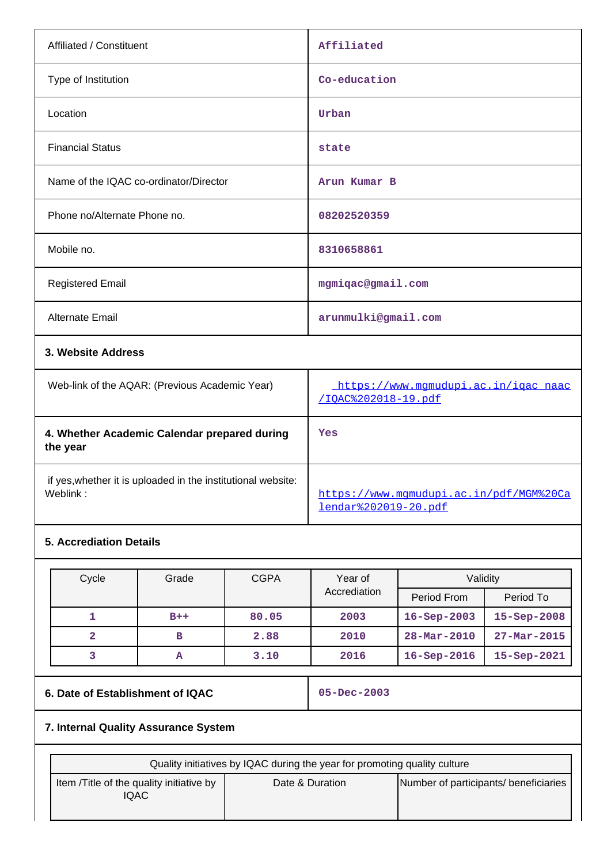| Affiliated / Constituent               | Affiliated          |
|----------------------------------------|---------------------|
| Type of Institution                    | Co-education        |
| Location                               | Urban               |
| <b>Financial Status</b>                | state               |
| Name of the IQAC co-ordinator/Director | Arun Kumar B        |
| Phone no/Alternate Phone no.           | 08202520359         |
| Mobile no.                             | 8310658861          |
| <b>Registered Email</b>                | mgmiqac@gmail.com   |
| Alternate Email                        | arunmulki@gmail.com |
| 3. Website Address                     |                     |

| Web-link of the AQAR: (Previous Academic Year)                           | https://www.mqmudupi.ac.in/igac naac<br>/IOAC%202018-19.pdf            |
|--------------------------------------------------------------------------|------------------------------------------------------------------------|
| 4. Whether Academic Calendar prepared during<br>the year                 | Yes                                                                    |
| if yes, whether it is uploaded in the institutional website:<br>Weblink: | https://www.mqmudupi.ac.in/pdf/MGM%20Ca<br><u>lendar%202019-20.pdf</u> |

# **5. Accrediation Details**

| Cycle | Grade | <b>CGPA</b> | Year of<br>Accrediation | Validity           |                   |
|-------|-------|-------------|-------------------------|--------------------|-------------------|
|       |       |             |                         | Period From        | Period To         |
|       | $B++$ | 80.05       | 2003                    | $16 - Sep-2003$    | $15 - Sep - 2008$ |
| 2     | в     | 2.88        | 2010                    | $28 - Mar - 2010$  | $27 - Mar - 2015$ |
|       | А     | 3.10        | 2016                    | $16 -$ Sep $-2016$ | $15 - Sep-2021$   |

# **6. Date of Establishment of IQAC 05-Dec-2003**

# **7. Internal Quality Assurance System**

| Quality initiatives by IQAC during the year for promoting quality culture |                 |                                       |  |
|---------------------------------------------------------------------------|-----------------|---------------------------------------|--|
| Item /Title of the quality initiative by<br>IQAC                          | Date & Duration | Number of participants/ beneficiaries |  |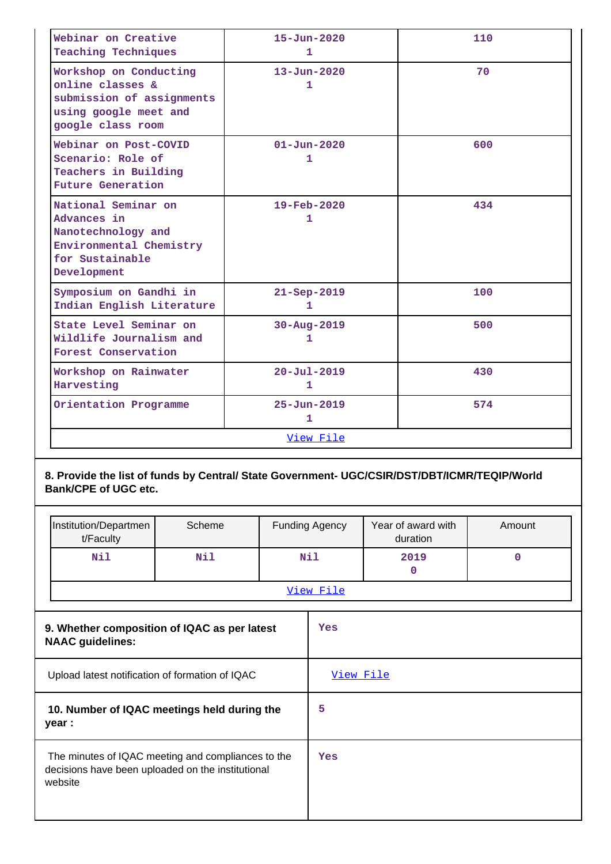| Webinar on Creative<br><b>Teaching Techniques</b>                                                                     | $15 - Jun - 2020$<br>1        | 110 |
|-----------------------------------------------------------------------------------------------------------------------|-------------------------------|-----|
| Workshop on Conducting<br>online classes &<br>submission of assignments<br>using google meet and<br>google class room | $13 - Jun - 2020$<br>1        | 70  |
| Webinar on Post-COVID<br>Scenario: Role of<br>Teachers in Building<br><b>Future Generation</b>                        | $01 - Jun - 2020$<br>1        | 600 |
| National Seminar on<br>Advances in<br>Nanotechnology and<br>Environmental Chemistry<br>for Sustainable<br>Development | $19 - \text{Feb} - 2020$<br>1 | 434 |
| Symposium on Gandhi in<br>Indian English Literature                                                                   | $21 - Sep - 2019$<br>1        | 100 |
| State Level Seminar on<br>Wildlife Journalism and<br>Forest Conservation                                              | $30 - Aug - 2019$<br>1        | 500 |
| Workshop on Rainwater<br>Harvesting                                                                                   | $20 - Ju1 - 2019$<br>1        | 430 |
| Orientation Programme                                                                                                 | $25 - Jun - 2019$<br>1        | 574 |
|                                                                                                                       | View File                     |     |

# **8. Provide the list of funds by Central/ State Government- UGC/CSIR/DST/DBT/ICMR/TEQIP/World Bank/CPE of UGC etc.**

| Institution/Departmen<br>t/Faculty                                                                                 | Scheme |  | <b>Funding Agency</b> | Year of award with<br>duration | Amount      |
|--------------------------------------------------------------------------------------------------------------------|--------|--|-----------------------|--------------------------------|-------------|
| Nil                                                                                                                | Nil    |  | Nil                   | 2019<br>$\mathbf 0$            | $\mathbf 0$ |
|                                                                                                                    |        |  | View File             |                                |             |
| 9. Whether composition of IQAC as per latest<br><b>NAAC guidelines:</b>                                            |        |  | Yes                   |                                |             |
| Upload latest notification of formation of IQAC                                                                    |        |  | View File             |                                |             |
| 10. Number of IQAC meetings held during the<br>year :                                                              |        |  | 5                     |                                |             |
| The minutes of IQAC meeting and compliances to the<br>decisions have been uploaded on the institutional<br>website |        |  | Yes                   |                                |             |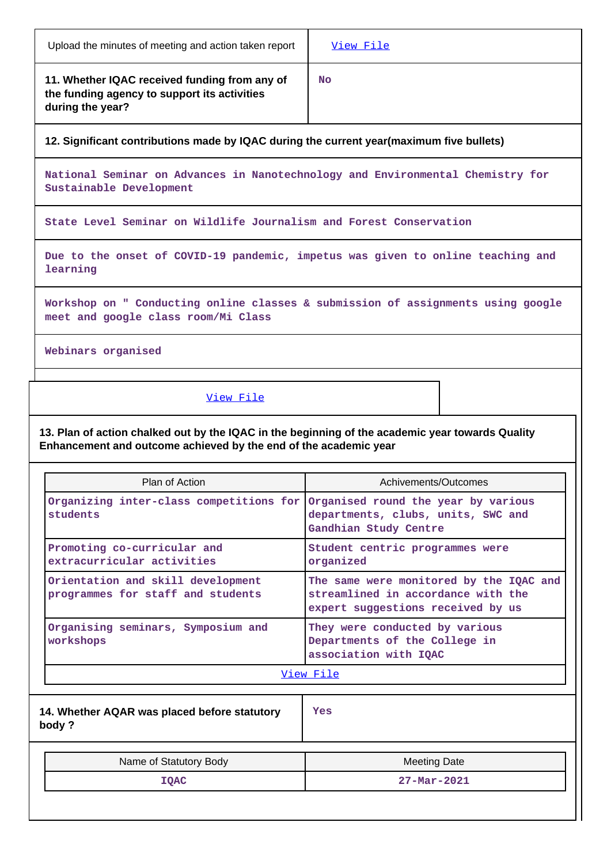| Upload the minutes of meeting and action taken report | View File |
|-------------------------------------------------------|-----------|
|                                                       |           |

**11. Whether IQAC received funding from any of the funding agency to support its activities during the year?**

**No**

Τ

**12. Significant contributions made by IQAC during the current year(maximum five bullets)**

**National Seminar on Advances in Nanotechnology and Environmental Chemistry for Sustainable Development**

**State Level Seminar on Wildlife Journalism and Forest Conservation**

**Due to the onset of COVID-19 pandemic, impetus was given to online teaching and learning**

**Workshop on " Conducting online classes & submission of assignments using google meet and google class room/Mi Class**

**Webinars organised**

## [View File](https://assessmentonline.naac.gov.in/public/Postacc/Contribution/10169_Contribution.xlsx)

**13. Plan of action chalked out by the IQAC in the beginning of the academic year towards Quality Enhancement and outcome achieved by the end of the academic year**

| Plan of Action                                                                          | Achivements/Outcomes                                                                                               |  |  |
|-----------------------------------------------------------------------------------------|--------------------------------------------------------------------------------------------------------------------|--|--|
| Organizing inter-class competitions for Organised round the year by various<br>students | departments, clubs, units, SWC and<br>Gandhian Study Centre                                                        |  |  |
| Promoting co-curricular and<br>extracurricular activities                               | Student centric programmes were<br>organized                                                                       |  |  |
| Orientation and skill development<br>programmes for staff and students                  | The same were monitored by the IQAC and<br>streamlined in accordance with the<br>expert suggestions received by us |  |  |
| Organising seminars, Symposium and<br>workshops                                         | They were conducted by various<br>Departments of the College in<br>association with IQAC                           |  |  |
|                                                                                         | View File                                                                                                          |  |  |
| 14. Whether AQAR was placed before statutory<br>body?                                   | Yes                                                                                                                |  |  |
| Name of Statutory Body                                                                  | <b>Meeting Date</b>                                                                                                |  |  |
| <b>IQAC</b>                                                                             | $27 - \text{Mar} - 2021$                                                                                           |  |  |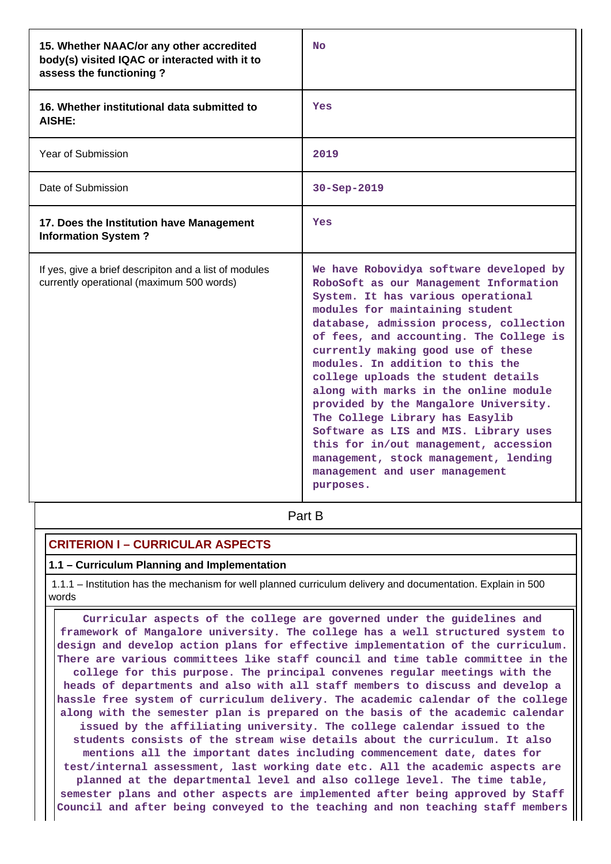| 15. Whether NAAC/or any other accredited<br>body(s) visited IQAC or interacted with it to<br>assess the functioning? | <b>No</b>                                                                                                                                                                                                                                                                                                                                                                                                                                                                                                                                                                                                                                                        |
|----------------------------------------------------------------------------------------------------------------------|------------------------------------------------------------------------------------------------------------------------------------------------------------------------------------------------------------------------------------------------------------------------------------------------------------------------------------------------------------------------------------------------------------------------------------------------------------------------------------------------------------------------------------------------------------------------------------------------------------------------------------------------------------------|
| 16. Whether institutional data submitted to<br>AISHE:                                                                | Yes                                                                                                                                                                                                                                                                                                                                                                                                                                                                                                                                                                                                                                                              |
| Year of Submission                                                                                                   | 2019                                                                                                                                                                                                                                                                                                                                                                                                                                                                                                                                                                                                                                                             |
| Date of Submission                                                                                                   | 30-Sep-2019                                                                                                                                                                                                                                                                                                                                                                                                                                                                                                                                                                                                                                                      |
| 17. Does the Institution have Management<br><b>Information System?</b>                                               | Yes                                                                                                                                                                                                                                                                                                                                                                                                                                                                                                                                                                                                                                                              |
| If yes, give a brief descripiton and a list of modules<br>currently operational (maximum 500 words)                  | We have Robovidya software developed by<br>RoboSoft as our Management Information<br>System. It has various operational<br>modules for maintaining student<br>database, admission process, collection<br>of fees, and accounting. The College is<br>currently making good use of these<br>modules. In addition to this the<br>college uploads the student details<br>along with marks in the online module<br>provided by the Mangalore University.<br>The College Library has Easylib<br>Software as LIS and MIS. Library uses<br>this for in/out management, accession<br>management, stock management, lending<br>management and user management<br>purposes. |

**Part B** 

## **CRITERION I – CURRICULAR ASPECTS**

### **1.1 – Curriculum Planning and Implementation**

 1.1.1 – Institution has the mechanism for well planned curriculum delivery and documentation. Explain in 500 words

 **Curricular aspects of the college are governed under the guidelines and framework of Mangalore university. The college has a well structured system to design and develop action plans for effective implementation of the curriculum. There are various committees like staff council and time table committee in the college for this purpose. The principal convenes regular meetings with the heads of departments and also with all staff members to discuss and develop a hassle free system of curriculum delivery. The academic calendar of the college along with the semester plan is prepared on the basis of the academic calendar issued by the affiliating university. The college calendar issued to the students consists of the stream wise details about the curriculum. It also mentions all the important dates including commencement date, dates for test/internal assessment, last working date etc. All the academic aspects are planned at the departmental level and also college level. The time table, semester plans and other aspects are implemented after being approved by Staff Council and after being conveyed to the teaching and non teaching staff members**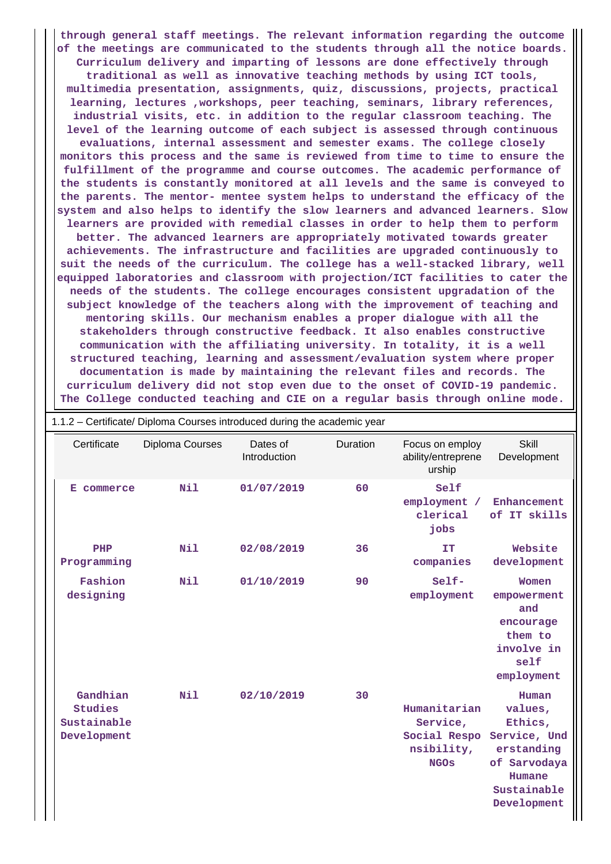**through general staff meetings. The relevant information regarding the outcome of the meetings are communicated to the students through all the notice boards. Curriculum delivery and imparting of lessons are done effectively through traditional as well as innovative teaching methods by using ICT tools, multimedia presentation, assignments, quiz, discussions, projects, practical learning, lectures ,workshops, peer teaching, seminars, library references, industrial visits, etc. in addition to the regular classroom teaching. The level of the learning outcome of each subject is assessed through continuous evaluations, internal assessment and semester exams. The college closely monitors this process and the same is reviewed from time to time to ensure the fulfillment of the programme and course outcomes. The academic performance of the students is constantly monitored at all levels and the same is conveyed to the parents. The mentor- mentee system helps to understand the efficacy of the system and also helps to identify the slow learners and advanced learners. Slow learners are provided with remedial classes in order to help them to perform better. The advanced learners are appropriately motivated towards greater achievements. The infrastructure and facilities are upgraded continuously to suit the needs of the curriculum. The college has a well-stacked library, well equipped laboratories and classroom with projection/ICT facilities to cater the needs of the students. The college encourages consistent upgradation of the subject knowledge of the teachers along with the improvement of teaching and mentoring skills. Our mechanism enables a proper dialogue with all the stakeholders through constructive feedback. It also enables constructive communication with the affiliating university. In totality, it is a well structured teaching, learning and assessment/evaluation system where proper documentation is made by maintaining the relevant files and records. The curriculum delivery did not stop even due to the onset of COVID-19 pandemic. The College conducted teaching and CIE on a regular basis through online mode.**

| 1.1.2 - Certificate/ Diploma Courses introduced during the academic year |                 |                          |          |                                                                       |                                                                                                                   |
|--------------------------------------------------------------------------|-----------------|--------------------------|----------|-----------------------------------------------------------------------|-------------------------------------------------------------------------------------------------------------------|
| Certificate                                                              | Diploma Courses | Dates of<br>Introduction | Duration | Focus on employ<br>ability/entreprene<br>urship                       | <b>Skill</b><br>Development                                                                                       |
| commerce<br>Е.                                                           | Nil             | 01/07/2019               | 60       | Self<br>employment /<br>clerical<br>jobs                              | Enhancement<br>of IT skills                                                                                       |
| PHP<br>Programming                                                       | Nil             | 02/08/2019               | 36       | IT<br>companies                                                       | Website<br>development                                                                                            |
| Fashion<br>designing                                                     | Nil             | 01/10/2019               | 90       | Self-<br>employment                                                   | Women<br>empowerment<br>and<br>encourage<br>them to<br>involve in<br>self<br>employment                           |
| Gandhian<br>Studies<br>Sustainable<br>Development                        | Nil             | 02/10/2019               | 30       | Humanitarian<br>Service,<br>Social Respo<br>nsibility,<br><b>NGOS</b> | Human<br>values,<br>Ethics,<br>Service, Und<br>erstanding<br>of Sarvodaya<br>Humane<br>Sustainable<br>Development |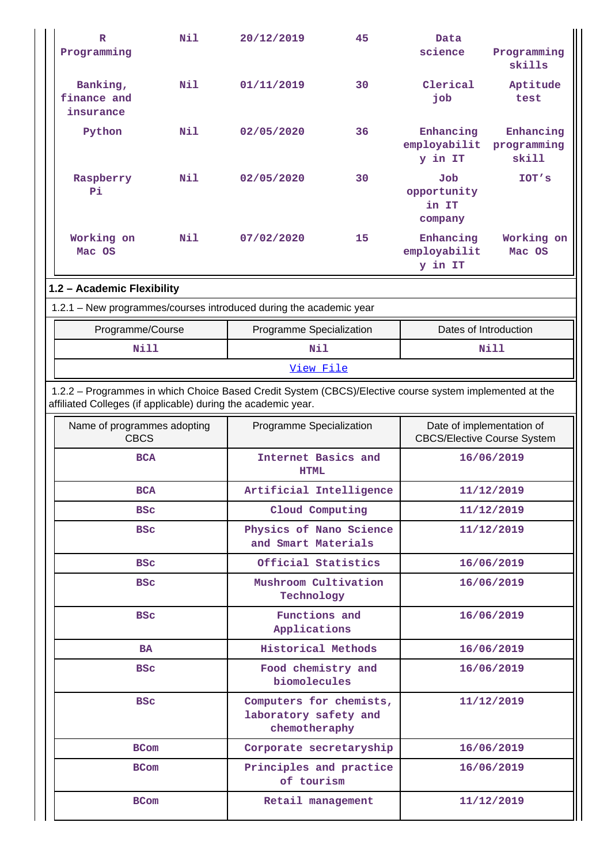| $\mathbb{R}$<br>Programming                                                                                                                                              | Nil        | 20/12/2019                                                        | 45                                 | Data<br>science                                                 | Programming<br>skills             |
|--------------------------------------------------------------------------------------------------------------------------------------------------------------------------|------------|-------------------------------------------------------------------|------------------------------------|-----------------------------------------------------------------|-----------------------------------|
| Banking,<br>finance and<br>insurance                                                                                                                                     | Nil        | 01/11/2019                                                        | 30                                 | Clerical<br>job                                                 | Aptitude<br>test                  |
| Python                                                                                                                                                                   | Nil        | 02/05/2020                                                        | 36                                 | Enhancing<br>employabilit<br>y in IT                            | Enhancing<br>programming<br>skill |
| Raspberry<br>Pi                                                                                                                                                          | <b>Nil</b> | 02/05/2020                                                        | 30                                 | Job<br>opportunity<br>in IT<br>company                          | IOT's                             |
| Working on<br>Mac OS                                                                                                                                                     | <b>Nil</b> | 07/02/2020                                                        | 15                                 | Enhancing<br>employabilit<br>y in IT                            | Working on<br>Mac OS              |
| 1.2 - Academic Flexibility                                                                                                                                               |            |                                                                   |                                    |                                                                 |                                   |
| 1.2.1 - New programmes/courses introduced during the academic year                                                                                                       |            |                                                                   |                                    |                                                                 |                                   |
| Programme/Course                                                                                                                                                         |            | Programme Specialization                                          |                                    | Dates of Introduction                                           |                                   |
| Nill                                                                                                                                                                     |            | Nil                                                               |                                    | <b>Nill</b>                                                     |                                   |
|                                                                                                                                                                          |            | View File                                                         |                                    |                                                                 |                                   |
| 1.2.2 - Programmes in which Choice Based Credit System (CBCS)/Elective course system implemented at the<br>affiliated Colleges (if applicable) during the academic year. |            |                                                                   |                                    |                                                                 |                                   |
| Name of programmes adopting<br><b>CBCS</b>                                                                                                                               |            | Programme Specialization                                          |                                    | Date of implementation of<br><b>CBCS/Elective Course System</b> |                                   |
| <b>BCA</b>                                                                                                                                                               |            |                                                                   | Internet Basics and<br><b>HTML</b> |                                                                 | 16/06/2019                        |
| <b>BCA</b>                                                                                                                                                               |            | Artificial Intelligence                                           |                                    |                                                                 | 11/12/2019                        |
| <b>BSC</b>                                                                                                                                                               |            | Cloud Computing                                                   |                                    | 11/12/2019                                                      |                                   |
| <b>BSC</b>                                                                                                                                                               |            | Physics of Nano Science<br>and Smart Materials                    |                                    |                                                                 | 11/12/2019                        |
| <b>BSC</b>                                                                                                                                                               |            | Official Statistics                                               |                                    |                                                                 | 16/06/2019                        |
| <b>BSC</b>                                                                                                                                                               |            | Mushroom Cultivation<br>Technology                                |                                    |                                                                 | 16/06/2019                        |
| <b>BSC</b>                                                                                                                                                               |            | Functions and<br>Applications                                     |                                    | 16/06/2019                                                      |                                   |
| <b>BA</b>                                                                                                                                                                |            | <b>Historical Methods</b>                                         |                                    |                                                                 | 16/06/2019                        |
| <b>BSC</b>                                                                                                                                                               |            | Food chemistry and<br>biomolecules                                |                                    | 16/06/2019                                                      |                                   |
| <b>BSC</b>                                                                                                                                                               |            | Computers for chemists,<br>laboratory safety and<br>chemotheraphy |                                    | 11/12/2019                                                      |                                   |
| <b>BCom</b>                                                                                                                                                              |            | Corporate secretaryship                                           |                                    |                                                                 | 16/06/2019                        |
| <b>BCom</b>                                                                                                                                                              |            | Principles and practice<br>of tourism                             |                                    | 16/06/2019                                                      |                                   |
| <b>BCom</b>                                                                                                                                                              |            | Retail management                                                 |                                    |                                                                 | 11/12/2019                        |

 $\mathbf{r}$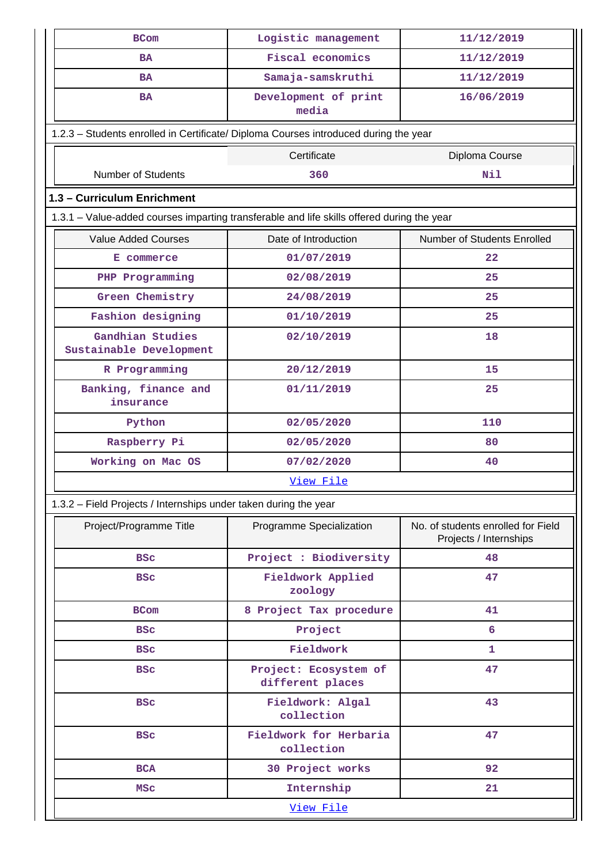| <b>BCom</b>                                                                                | Logistic management                       | 11/12/2019                                                   |  |  |  |  |  |  |
|--------------------------------------------------------------------------------------------|-------------------------------------------|--------------------------------------------------------------|--|--|--|--|--|--|
| <b>BA</b>                                                                                  | <b>Fiscal economics</b>                   | 11/12/2019                                                   |  |  |  |  |  |  |
| <b>BA</b>                                                                                  | Samaja-samskruthi                         | 11/12/2019                                                   |  |  |  |  |  |  |
| BA                                                                                         | Development of print<br>media             | 16/06/2019                                                   |  |  |  |  |  |  |
| 1.2.3 - Students enrolled in Certificate/ Diploma Courses introduced during the year       |                                           |                                                              |  |  |  |  |  |  |
|                                                                                            | Certificate                               | Diploma Course                                               |  |  |  |  |  |  |
| <b>Number of Students</b>                                                                  | 360                                       | Nil                                                          |  |  |  |  |  |  |
| 1.3 - Curriculum Enrichment                                                                |                                           |                                                              |  |  |  |  |  |  |
| 1.3.1 - Value-added courses imparting transferable and life skills offered during the year |                                           |                                                              |  |  |  |  |  |  |
| <b>Value Added Courses</b>                                                                 | Date of Introduction                      | Number of Students Enrolled                                  |  |  |  |  |  |  |
| E commerce                                                                                 | 01/07/2019                                | 22                                                           |  |  |  |  |  |  |
| PHP Programming                                                                            | 02/08/2019                                | 25                                                           |  |  |  |  |  |  |
| Green Chemistry                                                                            | 24/08/2019                                | 25                                                           |  |  |  |  |  |  |
| Fashion designing                                                                          | 01/10/2019                                | 25                                                           |  |  |  |  |  |  |
| Gandhian Studies<br>Sustainable Development                                                | 02/10/2019                                | 18                                                           |  |  |  |  |  |  |
| R Programming                                                                              | 20/12/2019                                | 15                                                           |  |  |  |  |  |  |
| Banking, finance and<br>insurance                                                          | 01/11/2019                                | 25                                                           |  |  |  |  |  |  |
| Python                                                                                     | 02/05/2020                                | 110                                                          |  |  |  |  |  |  |
| Raspberry Pi                                                                               | 02/05/2020                                | 80                                                           |  |  |  |  |  |  |
| Working on Mac OS                                                                          | 07/02/2020                                | 40                                                           |  |  |  |  |  |  |
|                                                                                            | <u>View File</u>                          |                                                              |  |  |  |  |  |  |
| 1.3.2 - Field Projects / Internships under taken during the year                           |                                           |                                                              |  |  |  |  |  |  |
| Project/Programme Title                                                                    | Programme Specialization                  | No. of students enrolled for Field<br>Projects / Internships |  |  |  |  |  |  |
| <b>BSC</b>                                                                                 | Project : Biodiversity                    | 48                                                           |  |  |  |  |  |  |
| <b>BSC</b>                                                                                 | Fieldwork Applied<br>zoology              | 47                                                           |  |  |  |  |  |  |
| <b>BCom</b>                                                                                | 8 Project Tax procedure                   | 41                                                           |  |  |  |  |  |  |
| <b>BSC</b>                                                                                 | Project                                   | 6                                                            |  |  |  |  |  |  |
| <b>BSC</b>                                                                                 | Fieldwork                                 | 1                                                            |  |  |  |  |  |  |
| <b>BSC</b>                                                                                 | Project: Ecosystem of<br>different places | 47                                                           |  |  |  |  |  |  |
| <b>BSC</b>                                                                                 | Fieldwork: Algal<br>collection            | 43                                                           |  |  |  |  |  |  |
| <b>BSC</b>                                                                                 | Fieldwork for Herbaria<br>collection      | 47                                                           |  |  |  |  |  |  |
| <b>BCA</b>                                                                                 | 30 Project works                          | 92                                                           |  |  |  |  |  |  |
| <b>MSC</b>                                                                                 | Internship                                | 21                                                           |  |  |  |  |  |  |
| View File                                                                                  |                                           |                                                              |  |  |  |  |  |  |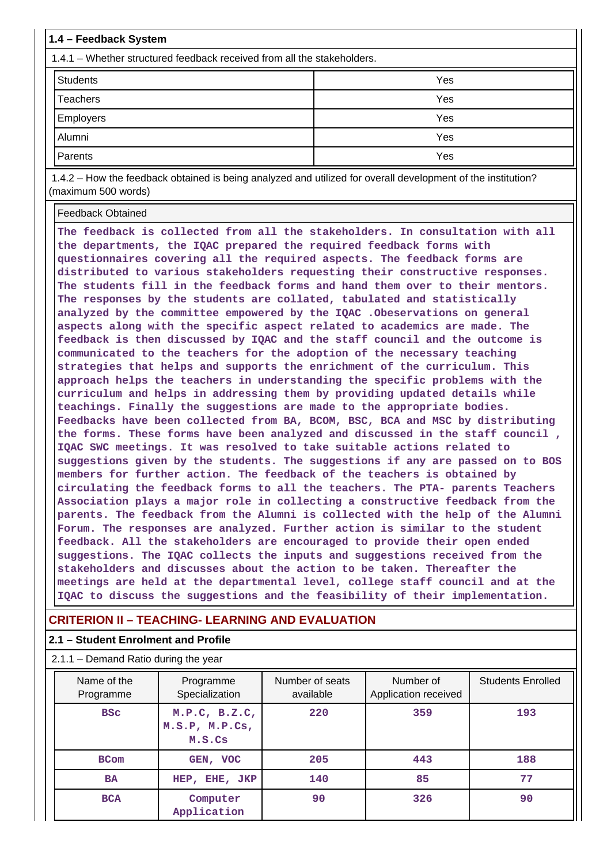| 1.4 - Feedback System                                                   |     |  |  |  |  |  |  |  |  |
|-------------------------------------------------------------------------|-----|--|--|--|--|--|--|--|--|
| 1.4.1 – Whether structured feedback received from all the stakeholders. |     |  |  |  |  |  |  |  |  |
| <b>Students</b>                                                         | Yes |  |  |  |  |  |  |  |  |
| <b>Teachers</b>                                                         | Yes |  |  |  |  |  |  |  |  |
| <b>Employers</b>                                                        | Yes |  |  |  |  |  |  |  |  |
| Alumni                                                                  | Yes |  |  |  |  |  |  |  |  |
| Parents                                                                 | Yes |  |  |  |  |  |  |  |  |
| $\sim$ $\sim$ $\sim$ $\sim$ $\sim$ $\sim$ $\sim$                        | .   |  |  |  |  |  |  |  |  |

 1.4.2 – How the feedback obtained is being analyzed and utilized for overall development of the institution? (maximum 500 words)

Feedback Obtained

**The feedback is collected from all the stakeholders. In consultation with all the departments, the IQAC prepared the required feedback forms with questionnaires covering all the required aspects. The feedback forms are distributed to various stakeholders requesting their constructive responses. The students fill in the feedback forms and hand them over to their mentors. The responses by the students are collated, tabulated and statistically analyzed by the committee empowered by the IQAC .Obeservations on general aspects along with the specific aspect related to academics are made. The feedback is then discussed by IQAC and the staff council and the outcome is communicated to the teachers for the adoption of the necessary teaching strategies that helps and supports the enrichment of the curriculum. This approach helps the teachers in understanding the specific problems with the curriculum and helps in addressing them by providing updated details while teachings. Finally the suggestions are made to the appropriate bodies. Feedbacks have been collected from BA, BCOM, BSC, BCA and MSC by distributing the forms. These forms have been analyzed and discussed in the staff council , IQAC SWC meetings. It was resolved to take suitable actions related to suggestions given by the students. The suggestions if any are passed on to BOS members for further action. The feedback of the teachers is obtained by circulating the feedback forms to all the teachers. The PTA- parents Teachers Association plays a major role in collecting a constructive feedback from the parents. The feedback from the Alumni is collected with the help of the Alumni Forum. The responses are analyzed. Further action is similar to the student feedback. All the stakeholders are encouraged to provide their open ended suggestions. The IQAC collects the inputs and suggestions received from the stakeholders and discusses about the action to be taken. Thereafter the meetings are held at the departmental level, college staff council and at the IQAC to discuss the suggestions and the feasibility of their implementation.**

## **CRITERION II – TEACHING- LEARNING AND EVALUATION**

# **2.1 – Student Enrolment and Profile**

| $2.1.1 -$ Demand Ratio during the year |                                           |                              |                                   |                          |  |  |  |  |  |  |  |
|----------------------------------------|-------------------------------------------|------------------------------|-----------------------------------|--------------------------|--|--|--|--|--|--|--|
| Name of the<br>Programme               | Programme<br>Specialization               | Number of seats<br>available | Number of<br>Application received | <b>Students Enrolled</b> |  |  |  |  |  |  |  |
| <b>BSC</b>                             | M.P.C, B.Z.C,<br>M.S.P, M.P.Cs,<br>M.S.Cs | 220                          | 359                               | 193                      |  |  |  |  |  |  |  |
| <b>BCom</b>                            | GEN, VOC<br>HEP, EHE, JKP<br><b>BA</b>    |                              | 443                               | 188<br>77                |  |  |  |  |  |  |  |
|                                        |                                           |                              | 85                                |                          |  |  |  |  |  |  |  |
| <b>BCA</b>                             | Computer<br>Application                   | 90                           | 326                               | 90                       |  |  |  |  |  |  |  |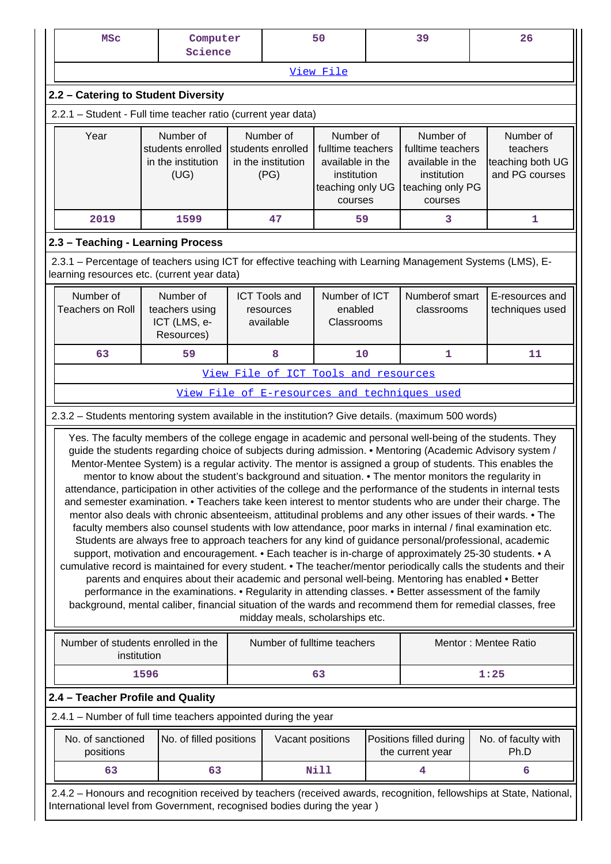| <b>MSC</b>                                                                                                                                                                                                                    | Computer<br>Science                                                                                                                                                                                                                                                                                                                                                                                                                                                                                                                                                                                                                                   |  |                                                              | 50                              |                                                                                                  | 39                                          | 26                                                                                                                                                                                                                                                                                                                                                                                                                                                                                                                                                                                                                                                                                                                                                                                                                                                                                                                       |  |  |  |
|-------------------------------------------------------------------------------------------------------------------------------------------------------------------------------------------------------------------------------|-------------------------------------------------------------------------------------------------------------------------------------------------------------------------------------------------------------------------------------------------------------------------------------------------------------------------------------------------------------------------------------------------------------------------------------------------------------------------------------------------------------------------------------------------------------------------------------------------------------------------------------------------------|--|--------------------------------------------------------------|---------------------------------|--------------------------------------------------------------------------------------------------|---------------------------------------------|--------------------------------------------------------------------------------------------------------------------------------------------------------------------------------------------------------------------------------------------------------------------------------------------------------------------------------------------------------------------------------------------------------------------------------------------------------------------------------------------------------------------------------------------------------------------------------------------------------------------------------------------------------------------------------------------------------------------------------------------------------------------------------------------------------------------------------------------------------------------------------------------------------------------------|--|--|--|
|                                                                                                                                                                                                                               |                                                                                                                                                                                                                                                                                                                                                                                                                                                                                                                                                                                                                                                       |  |                                                              | View File                       |                                                                                                  |                                             |                                                                                                                                                                                                                                                                                                                                                                                                                                                                                                                                                                                                                                                                                                                                                                                                                                                                                                                          |  |  |  |
| 2.2 - Catering to Student Diversity                                                                                                                                                                                           |                                                                                                                                                                                                                                                                                                                                                                                                                                                                                                                                                                                                                                                       |  |                                                              |                                 |                                                                                                  |                                             |                                                                                                                                                                                                                                                                                                                                                                                                                                                                                                                                                                                                                                                                                                                                                                                                                                                                                                                          |  |  |  |
| 2.2.1 - Student - Full time teacher ratio (current year data)                                                                                                                                                                 |                                                                                                                                                                                                                                                                                                                                                                                                                                                                                                                                                                                                                                                       |  |                                                              |                                 |                                                                                                  |                                             |                                                                                                                                                                                                                                                                                                                                                                                                                                                                                                                                                                                                                                                                                                                                                                                                                                                                                                                          |  |  |  |
| Year                                                                                                                                                                                                                          | Number of<br>students enrolled<br>in the institution<br>(UG)                                                                                                                                                                                                                                                                                                                                                                                                                                                                                                                                                                                          |  | Number of<br>students enrolled<br>in the institution<br>(PG) |                                 | Number of<br>fulltime teachers<br>available in the<br>institution<br>teaching only UG<br>courses |                                             | Number of<br>fulltime teachers<br>teachers<br>teaching both UG<br>available in the<br>and PG courses<br>teaching only PG                                                                                                                                                                                                                                                                                                                                                                                                                                                                                                                                                                                                                                                                                                                                                                                                 |  |  |  |
| 2019                                                                                                                                                                                                                          | 1599                                                                                                                                                                                                                                                                                                                                                                                                                                                                                                                                                                                                                                                  |  | 47                                                           | 59                              |                                                                                                  | 3                                           | 1                                                                                                                                                                                                                                                                                                                                                                                                                                                                                                                                                                                                                                                                                                                                                                                                                                                                                                                        |  |  |  |
| 2.3 - Teaching - Learning Process                                                                                                                                                                                             |                                                                                                                                                                                                                                                                                                                                                                                                                                                                                                                                                                                                                                                       |  |                                                              |                                 |                                                                                                  |                                             |                                                                                                                                                                                                                                                                                                                                                                                                                                                                                                                                                                                                                                                                                                                                                                                                                                                                                                                          |  |  |  |
| 2.3.1 – Percentage of teachers using ICT for effective teaching with Learning Management Systems (LMS), E-<br>learning resources etc. (current year data)                                                                     |                                                                                                                                                                                                                                                                                                                                                                                                                                                                                                                                                                                                                                                       |  |                                                              |                                 |                                                                                                  |                                             |                                                                                                                                                                                                                                                                                                                                                                                                                                                                                                                                                                                                                                                                                                                                                                                                                                                                                                                          |  |  |  |
| Number of<br>Number of<br>Number of ICT<br>Numberof smart<br><b>ICT Tools and</b><br><b>Teachers on Roll</b><br>enabled<br>teachers using<br>classrooms<br>resources<br>ICT (LMS, e-<br>available<br>Classrooms<br>Resources) |                                                                                                                                                                                                                                                                                                                                                                                                                                                                                                                                                                                                                                                       |  |                                                              |                                 | E-resources and<br>techniques used                                                               |                                             |                                                                                                                                                                                                                                                                                                                                                                                                                                                                                                                                                                                                                                                                                                                                                                                                                                                                                                                          |  |  |  |
| 63<br>10<br>$\mathbf{1}$<br>11<br>59<br>8                                                                                                                                                                                     |                                                                                                                                                                                                                                                                                                                                                                                                                                                                                                                                                                                                                                                       |  |                                                              |                                 |                                                                                                  |                                             |                                                                                                                                                                                                                                                                                                                                                                                                                                                                                                                                                                                                                                                                                                                                                                                                                                                                                                                          |  |  |  |
|                                                                                                                                                                                                                               | View File of ICT Tools and resources                                                                                                                                                                                                                                                                                                                                                                                                                                                                                                                                                                                                                  |  |                                                              |                                 |                                                                                                  |                                             |                                                                                                                                                                                                                                                                                                                                                                                                                                                                                                                                                                                                                                                                                                                                                                                                                                                                                                                          |  |  |  |
|                                                                                                                                                                                                                               | View File of E-resources and techniques used                                                                                                                                                                                                                                                                                                                                                                                                                                                                                                                                                                                                          |  |                                                              |                                 |                                                                                                  |                                             |                                                                                                                                                                                                                                                                                                                                                                                                                                                                                                                                                                                                                                                                                                                                                                                                                                                                                                                          |  |  |  |
| 2.3.2 - Students mentoring system available in the institution? Give details. (maximum 500 words)                                                                                                                             |                                                                                                                                                                                                                                                                                                                                                                                                                                                                                                                                                                                                                                                       |  |                                                              |                                 |                                                                                                  |                                             |                                                                                                                                                                                                                                                                                                                                                                                                                                                                                                                                                                                                                                                                                                                                                                                                                                                                                                                          |  |  |  |
|                                                                                                                                                                                                                               | mentor to know about the student's background and situation. • The mentor monitors the regularity in<br>faculty members also counsel students with low attendance, poor marks in internal / final examination etc.<br>Students are always free to approach teachers for any kind of guidance personal/professional, academic<br>support, motivation and encouragement. • Each teacher is in-charge of approximately 25-30 students. • A<br>parents and enquires about their academic and personal well-being. Mentoring has enabled . Better<br>performance in the examinations. • Regularity in attending classes. • Better assessment of the family |  |                                                              | midday meals, scholarships etc. |                                                                                                  |                                             | Yes. The faculty members of the college engage in academic and personal well-being of the students. They<br>guide the students regarding choice of subjects during admission. • Mentoring (Academic Advisory system /<br>Mentor-Mentee System) is a regular activity. The mentor is assigned a group of students. This enables the<br>attendance, participation in other activities of the college and the performance of the students in internal tests<br>and semester examination. • Teachers take keen interest to mentor students who are under their charge. The<br>mentor also deals with chronic absenteeism, attitudinal problems and any other issues of their wards. • The<br>cumulative record is maintained for every student. • The teacher/mentor periodically calls the students and their<br>background, mental caliber, financial situation of the wards and recommend them for remedial classes, free |  |  |  |
| institution                                                                                                                                                                                                                   | Number of students enrolled in the                                                                                                                                                                                                                                                                                                                                                                                                                                                                                                                                                                                                                    |  |                                                              | Number of fulltime teachers     |                                                                                                  |                                             | Mentor: Mentee Ratio                                                                                                                                                                                                                                                                                                                                                                                                                                                                                                                                                                                                                                                                                                                                                                                                                                                                                                     |  |  |  |
|                                                                                                                                                                                                                               | 1596                                                                                                                                                                                                                                                                                                                                                                                                                                                                                                                                                                                                                                                  |  |                                                              | 63                              |                                                                                                  |                                             | 1:25                                                                                                                                                                                                                                                                                                                                                                                                                                                                                                                                                                                                                                                                                                                                                                                                                                                                                                                     |  |  |  |
| 2.4 - Teacher Profile and Quality                                                                                                                                                                                             |                                                                                                                                                                                                                                                                                                                                                                                                                                                                                                                                                                                                                                                       |  |                                                              |                                 |                                                                                                  |                                             |                                                                                                                                                                                                                                                                                                                                                                                                                                                                                                                                                                                                                                                                                                                                                                                                                                                                                                                          |  |  |  |
| 2.4.1 - Number of full time teachers appointed during the year                                                                                                                                                                |                                                                                                                                                                                                                                                                                                                                                                                                                                                                                                                                                                                                                                                       |  |                                                              |                                 |                                                                                                  |                                             |                                                                                                                                                                                                                                                                                                                                                                                                                                                                                                                                                                                                                                                                                                                                                                                                                                                                                                                          |  |  |  |
| No. of sanctioned<br>positions                                                                                                                                                                                                | No. of filled positions                                                                                                                                                                                                                                                                                                                                                                                                                                                                                                                                                                                                                               |  | Vacant positions                                             |                                 |                                                                                                  | Positions filled during<br>the current year | No. of faculty with<br>Ph.D                                                                                                                                                                                                                                                                                                                                                                                                                                                                                                                                                                                                                                                                                                                                                                                                                                                                                              |  |  |  |
| 63                                                                                                                                                                                                                            | 63                                                                                                                                                                                                                                                                                                                                                                                                                                                                                                                                                                                                                                                    |  |                                                              | <b>Nill</b>                     |                                                                                                  | 4                                           | 6                                                                                                                                                                                                                                                                                                                                                                                                                                                                                                                                                                                                                                                                                                                                                                                                                                                                                                                        |  |  |  |
| International level from Government, recognised bodies during the year)                                                                                                                                                       |                                                                                                                                                                                                                                                                                                                                                                                                                                                                                                                                                                                                                                                       |  |                                                              |                                 |                                                                                                  |                                             | 2.4.2 - Honours and recognition received by teachers (received awards, recognition, fellowships at State, National,                                                                                                                                                                                                                                                                                                                                                                                                                                                                                                                                                                                                                                                                                                                                                                                                      |  |  |  |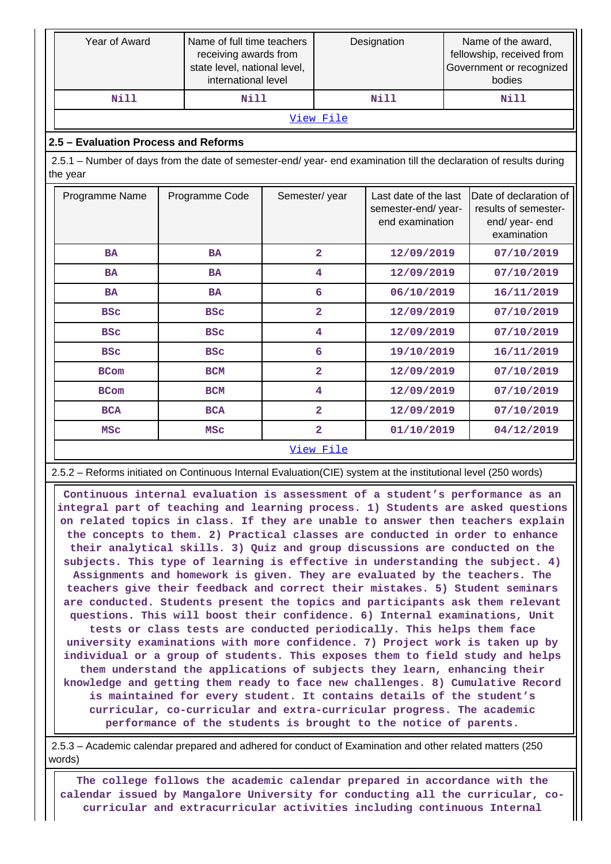|                                      | Year of Award                                                                                                                  |  | Name of full time teachers<br>receiving awards from<br>state level, national level,<br>international level |                         | Designation             |                                                                | Name of the award,<br>fellowship, received from<br>Government or recognized<br>bodies |                                                                                 |  |  |  |
|--------------------------------------|--------------------------------------------------------------------------------------------------------------------------------|--|------------------------------------------------------------------------------------------------------------|-------------------------|-------------------------|----------------------------------------------------------------|---------------------------------------------------------------------------------------|---------------------------------------------------------------------------------|--|--|--|
|                                      | <b>Nill</b>                                                                                                                    |  | <b>Nill</b>                                                                                                |                         |                         | <b>Nill</b>                                                    |                                                                                       | <b>Nill</b>                                                                     |  |  |  |
|                                      |                                                                                                                                |  |                                                                                                            |                         | View File               |                                                                |                                                                                       |                                                                                 |  |  |  |
| 2.5 - Evaluation Process and Reforms |                                                                                                                                |  |                                                                                                            |                         |                         |                                                                |                                                                                       |                                                                                 |  |  |  |
|                                      | 2.5.1 – Number of days from the date of semester-end/ year- end examination till the declaration of results during<br>the year |  |                                                                                                            |                         |                         |                                                                |                                                                                       |                                                                                 |  |  |  |
|                                      | Programme Name                                                                                                                 |  | Programme Code                                                                                             | Semester/year           |                         | Last date of the last<br>semester-end/year-<br>end examination |                                                                                       | Date of declaration of<br>results of semester-<br>end/ year- end<br>examination |  |  |  |
|                                      | <b>BA</b>                                                                                                                      |  | <b>BA</b>                                                                                                  |                         | $\overline{a}$          | 12/09/2019                                                     |                                                                                       | 07/10/2019                                                                      |  |  |  |
|                                      | <b>BA</b>                                                                                                                      |  | <b>BA</b>                                                                                                  |                         | 4                       | 12/09/2019                                                     |                                                                                       | 07/10/2019                                                                      |  |  |  |
|                                      | <b>BA</b>                                                                                                                      |  | <b>BA</b>                                                                                                  |                         | 6                       | 06/10/2019                                                     |                                                                                       | 16/11/2019                                                                      |  |  |  |
|                                      | <b>BSC</b>                                                                                                                     |  | <b>BSC</b>                                                                                                 |                         | $\overline{\mathbf{2}}$ | 12/09/2019                                                     |                                                                                       | 07/10/2019                                                                      |  |  |  |
|                                      | <b>BSC</b>                                                                                                                     |  | <b>BSC</b>                                                                                                 |                         | 4                       | 12/09/2019                                                     |                                                                                       | 07/10/2019                                                                      |  |  |  |
|                                      | <b>BSC</b>                                                                                                                     |  | <b>BSC</b>                                                                                                 |                         | 6                       | 19/10/2019                                                     |                                                                                       | 16/11/2019                                                                      |  |  |  |
|                                      | <b>BCom</b>                                                                                                                    |  | <b>BCM</b>                                                                                                 |                         | $\overline{\mathbf{2}}$ | 12/09/2019                                                     |                                                                                       | 07/10/2019                                                                      |  |  |  |
|                                      | <b>BCom</b>                                                                                                                    |  | <b>BCM</b>                                                                                                 |                         | 4                       | 12/09/2019                                                     |                                                                                       | 07/10/2019                                                                      |  |  |  |
|                                      | <b>BCA</b>                                                                                                                     |  | <b>BCA</b>                                                                                                 |                         | $\overline{a}$          | 12/09/2019                                                     |                                                                                       | 07/10/2019                                                                      |  |  |  |
|                                      | <b>MSC</b>                                                                                                                     |  | <b>MSC</b>                                                                                                 | $\overline{\mathbf{2}}$ |                         | 01/10/2019                                                     |                                                                                       | 04/12/2019                                                                      |  |  |  |
|                                      |                                                                                                                                |  |                                                                                                            |                         | View File               |                                                                |                                                                                       |                                                                                 |  |  |  |

2.5.2 – Reforms initiated on Continuous Internal Evaluation(CIE) system at the institutional level (250 words)

 **Continuous internal evaluation is assessment of a student's performance as an integral part of teaching and learning process. 1) Students are asked questions on related topics in class. If they are unable to answer then teachers explain the concepts to them. 2) Practical classes are conducted in order to enhance their analytical skills. 3) Quiz and group discussions are conducted on the subjects. This type of learning is effective in understanding the subject. 4) Assignments and homework is given. They are evaluated by the teachers. The teachers give their feedback and correct their mistakes. 5) Student seminars are conducted. Students present the topics and participants ask them relevant questions. This will boost their confidence. 6) Internal examinations, Unit tests or class tests are conducted periodically. This helps them face university examinations with more confidence. 7) Project work is taken up by individual or a group of students. This exposes them to field study and helps them understand the applications of subjects they learn, enhancing their knowledge and getting them ready to face new challenges. 8) Cumulative Record is maintained for every student. It contains details of the student's curricular, co-curricular and extra-curricular progress. The academic performance of the students is brought to the notice of parents.**

 2.5.3 – Academic calendar prepared and adhered for conduct of Examination and other related matters (250 words)

 **The college follows the academic calendar prepared in accordance with the calendar issued by Mangalore University for conducting all the curricular, cocurricular and extracurricular activities including continuous Internal**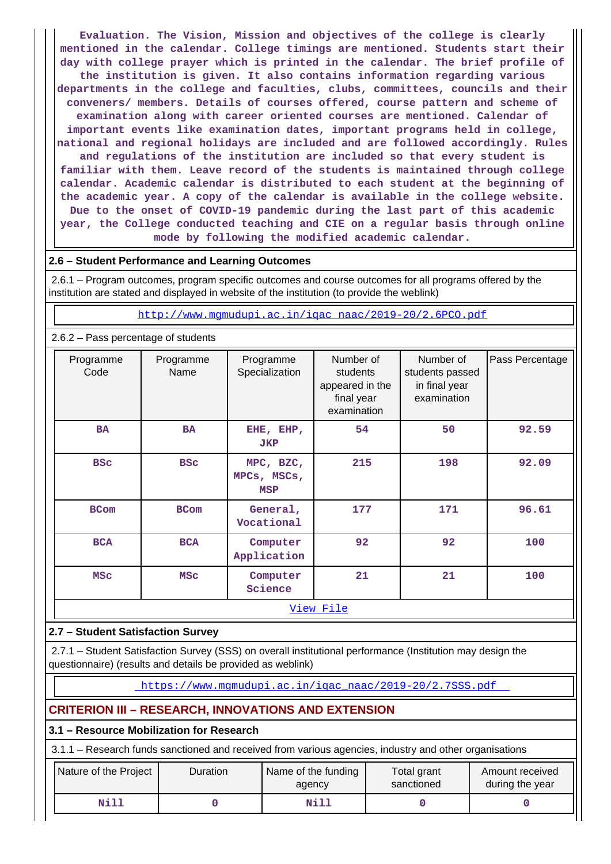**Evaluation. The Vision, Mission and objectives of the college is clearly mentioned in the calendar. College timings are mentioned. Students start their day with college prayer which is printed in the calendar. The brief profile of the institution is given. It also contains information regarding various departments in the college and faculties, clubs, committees, councils and their conveners/ members. Details of courses offered, course pattern and scheme of examination along with career oriented courses are mentioned. Calendar of important events like examination dates, important programs held in college, national and regional holidays are included and are followed accordingly. Rules and regulations of the institution are included so that every student is familiar with them. Leave record of the students is maintained through college calendar. Academic calendar is distributed to each student at the beginning of the academic year. A copy of the calendar is available in the college website. Due to the onset of COVID-19 pandemic during the last part of this academic year, the College conducted teaching and CIE on a regular basis through online mode by following the modified academic calendar.**

#### **2.6 – Student Performance and Learning Outcomes**

 2.6.1 – Program outcomes, program specific outcomes and course outcomes for all programs offered by the institution are stated and displayed in website of the institution (to provide the weblink)

[http://www.mgmudupi.ac.in/iqac\\_naac/2019-20/2.6PCO.pdf](http://www.mgmudupi.ac.in/iqac_naac/2019-20/2.6PCO.pdf)

|                                   | 2.6.2 - Pass percentage of students |                                        |                                                                       |                                                              |                 |  |  |  |  |  |  |
|-----------------------------------|-------------------------------------|----------------------------------------|-----------------------------------------------------------------------|--------------------------------------------------------------|-----------------|--|--|--|--|--|--|
| Programme<br>Code                 | Programme<br>Name                   | Programme<br>Specialization            | Number of<br>students<br>appeared in the<br>final year<br>examination | Number of<br>students passed<br>in final year<br>examination | Pass Percentage |  |  |  |  |  |  |
| <b>BA</b>                         | <b>BA</b>                           | EHE, EHP,<br><b>JKP</b>                | 54                                                                    | 50                                                           | 92.59           |  |  |  |  |  |  |
| <b>BSC</b>                        | <b>BSC</b>                          | MPC, BZC,<br>MPCs, MSCs,<br><b>MSP</b> | 215                                                                   | 198                                                          | 92.09           |  |  |  |  |  |  |
| <b>BCom</b>                       | <b>BCom</b>                         | General,<br>Vocational                 | 177                                                                   | 171                                                          | 96.61           |  |  |  |  |  |  |
| <b>BCA</b>                        | <b>BCA</b>                          | Computer<br>Application                | 92                                                                    | 92                                                           | 100             |  |  |  |  |  |  |
| <b>MSC</b><br><b>MSC</b>          |                                     | Computer<br>Science                    | 21                                                                    | 21                                                           | 100             |  |  |  |  |  |  |
|                                   |                                     |                                        | View File                                                             |                                                              |                 |  |  |  |  |  |  |
| 2.7 - Student Satisfaction Survey |                                     |                                        |                                                                       |                                                              |                 |  |  |  |  |  |  |

 2.7.1 – Student Satisfaction Survey (SSS) on overall institutional performance (Institution may design the questionnaire) (results and details be provided as weblink)

[https://www.mgmudupi.ac.in/iqac\\_naac/2019-20/2.7SSS.pdf](https://www.mgmudupi.ac.in/iqac_naac/2019-20/2.7SSS.pdf) 

## **CRITERION III – RESEARCH, INNOVATIONS AND EXTENSION**

#### **3.1 – Resource Mobilization for Research**

3.1.1 – Research funds sanctioned and received from various agencies, industry and other organisations

| Nature of the Project | Duration | Name of the funding<br>agency | Total grant<br>sanctioned | Amount received<br>during the year |
|-----------------------|----------|-------------------------------|---------------------------|------------------------------------|
| <b>Nill</b>           |          | Nill                          |                           |                                    |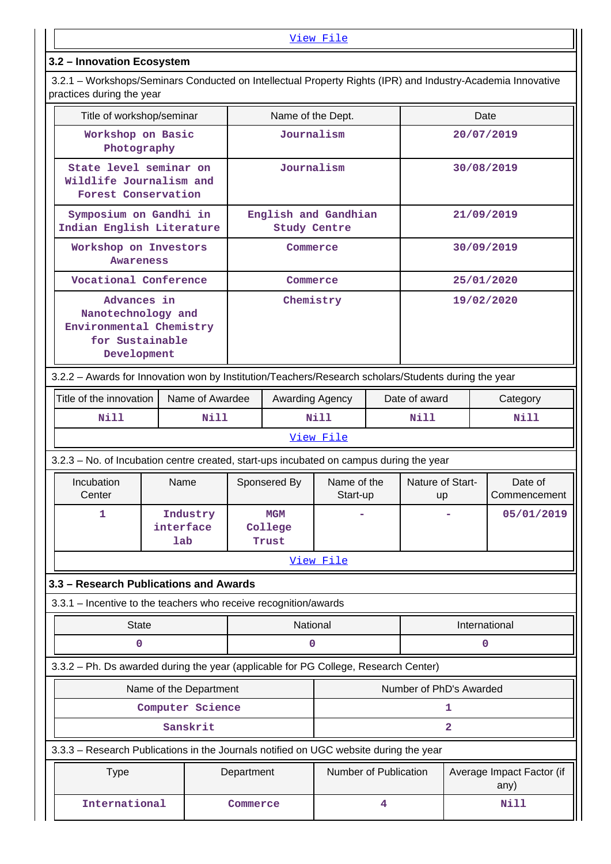## **3.2 – Innovation Ecosystem**

 3.2.1 – Workshops/Seminars Conducted on Intellectual Property Rights (IPR) and Industry-Academia Innovative practices during the year

|  | Title of workshop/seminar                                                                            |                  |                        |                                             | Name of the Dept.       |                       |                         |                         |                        | Date                              |
|--|------------------------------------------------------------------------------------------------------|------------------|------------------------|---------------------------------------------|-------------------------|-----------------------|-------------------------|-------------------------|------------------------|-----------------------------------|
|  | Workshop on Basic<br>Photography                                                                     |                  |                        |                                             | Journalism              |                       |                         |                         |                        | 20/07/2019                        |
|  | State level seminar on<br>Wildlife Journalism and<br><b>Forest Conservation</b>                      |                  |                        |                                             | Journalism              |                       |                         | 30/08/2019              |                        |                                   |
|  | Symposium on Gandhi in<br>Indian English Literature                                                  |                  |                        | English and Gandhian<br><b>Study Centre</b> |                         |                       |                         | 21/09/2019              |                        |                                   |
|  | Workshop on Investors<br><b>Awareness</b>                                                            |                  |                        | Commerce                                    |                         |                       |                         |                         | 30/09/2019             |                                   |
|  | Vocational Conference                                                                                |                  |                        |                                             | Commerce                |                       |                         |                         |                        | 25/01/2020                        |
|  | Advances in<br>Nanotechnology and<br>Environmental Chemistry<br>for Sustainable<br>Development       |                  |                        | Chemistry                                   |                         |                       | 19/02/2020              |                         |                        |                                   |
|  | 3.2.2 - Awards for Innovation won by Institution/Teachers/Research scholars/Students during the year |                  |                        |                                             |                         |                       |                         |                         |                        |                                   |
|  | Title of the innovation                                                                              |                  | Name of Awardee        |                                             | Awarding Agency         |                       | Date of award           |                         | Category               |                                   |
|  | <b>Nill</b>                                                                                          |                  | Nill                   | Nill                                        |                         | Nill                  |                         | Nill                    |                        |                                   |
|  | View File                                                                                            |                  |                        |                                             |                         |                       |                         |                         |                        |                                   |
|  | 3.2.3 – No. of Incubation centre created, start-ups incubated on campus during the year              |                  |                        |                                             |                         |                       |                         |                         |                        |                                   |
|  | Incubation<br>Center                                                                                 | Name             |                        |                                             | Sponsered By            |                       | Name of the<br>Start-up |                         | Nature of Start-<br>up | Date of<br>Commencement           |
|  | 1                                                                                                    | interface<br>lab | Industry               |                                             | MGM<br>College<br>Trust |                       |                         |                         |                        | 05/01/2019                        |
|  |                                                                                                      |                  |                        |                                             |                         | View File             |                         |                         |                        |                                   |
|  | 3.3 - Research Publications and Awards                                                               |                  |                        |                                             |                         |                       |                         |                         |                        |                                   |
|  | 3.3.1 - Incentive to the teachers who receive recognition/awards                                     |                  |                        |                                             |                         |                       |                         |                         |                        |                                   |
|  | <b>State</b>                                                                                         |                  |                        |                                             | National                |                       |                         |                         |                        | International                     |
|  | 0                                                                                                    |                  |                        |                                             | 0                       |                       |                         |                         |                        | 0                                 |
|  | 3.3.2 - Ph. Ds awarded during the year (applicable for PG College, Research Center)                  |                  |                        |                                             |                         |                       |                         |                         |                        |                                   |
|  |                                                                                                      |                  | Name of the Department |                                             |                         |                       |                         | Number of PhD's Awarded |                        |                                   |
|  |                                                                                                      |                  | Computer Science       |                                             |                         |                       |                         |                         | 1                      |                                   |
|  |                                                                                                      |                  | Sanskrit               |                                             |                         |                       |                         |                         | $\overline{a}$         |                                   |
|  | 3.3.3 - Research Publications in the Journals notified on UGC website during the year                |                  |                        |                                             |                         |                       |                         |                         |                        |                                   |
|  | <b>Type</b>                                                                                          |                  |                        | Department                                  |                         | Number of Publication |                         |                         |                        | Average Impact Factor (if<br>any) |
|  | International                                                                                        |                  |                        | Commerce                                    |                         |                       | 4                       |                         |                        | Nill                              |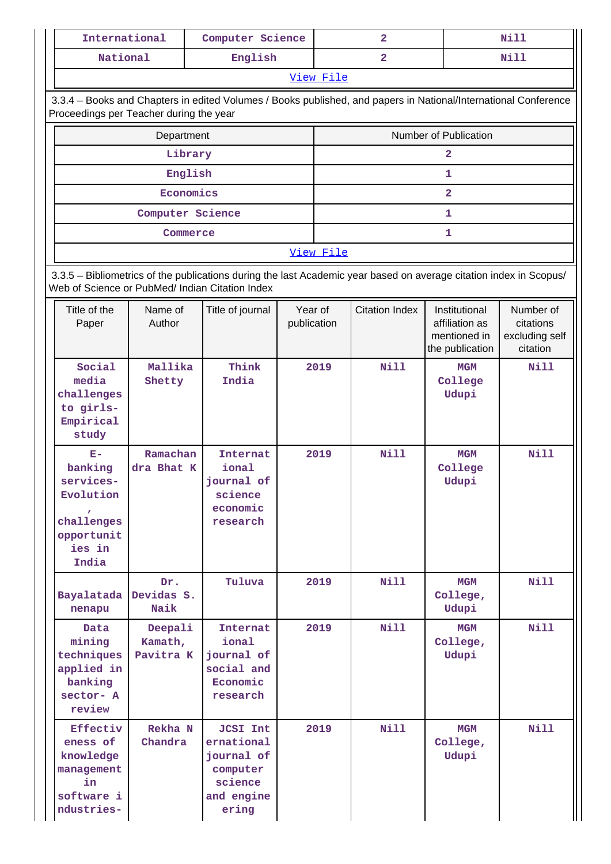| International                                                                                                                                                         |                                 | Computer Science                                                                                                |                        |           | $\overline{2}$        |                                                                    | <b>Nill</b>                                          |  |  |  |
|-----------------------------------------------------------------------------------------------------------------------------------------------------------------------|---------------------------------|-----------------------------------------------------------------------------------------------------------------|------------------------|-----------|-----------------------|--------------------------------------------------------------------|------------------------------------------------------|--|--|--|
| National                                                                                                                                                              |                                 | English                                                                                                         |                        |           | $\overline{2}$        |                                                                    | Nill                                                 |  |  |  |
|                                                                                                                                                                       |                                 |                                                                                                                 |                        | View File |                       |                                                                    |                                                      |  |  |  |
| Proceedings per Teacher during the year                                                                                                                               |                                 | 3.3.4 - Books and Chapters in edited Volumes / Books published, and papers in National/International Conference |                        |           |                       |                                                                    |                                                      |  |  |  |
|                                                                                                                                                                       | Department                      |                                                                                                                 |                        |           |                       | Number of Publication                                              |                                                      |  |  |  |
|                                                                                                                                                                       | Library                         |                                                                                                                 |                        | 2         |                       |                                                                    |                                                      |  |  |  |
|                                                                                                                                                                       | English                         |                                                                                                                 |                        |           |                       | $\mathbf{1}$                                                       |                                                      |  |  |  |
|                                                                                                                                                                       | Economics                       |                                                                                                                 |                        |           |                       | $\overline{2}$                                                     |                                                      |  |  |  |
|                                                                                                                                                                       | Computer Science                |                                                                                                                 |                        |           |                       | 1                                                                  |                                                      |  |  |  |
|                                                                                                                                                                       | Commerce                        |                                                                                                                 |                        |           |                       | 1                                                                  |                                                      |  |  |  |
| View File                                                                                                                                                             |                                 |                                                                                                                 |                        |           |                       |                                                                    |                                                      |  |  |  |
| 3.3.5 - Bibliometrics of the publications during the last Academic year based on average citation index in Scopus/<br>Web of Science or PubMed/ Indian Citation Index |                                 |                                                                                                                 |                        |           |                       |                                                                    |                                                      |  |  |  |
| Title of the<br>Paper                                                                                                                                                 | Name of<br>Author               | Title of journal                                                                                                | Year of<br>publication |           | <b>Citation Index</b> | Institutional<br>affiliation as<br>mentioned in<br>the publication | Number of<br>citations<br>excluding self<br>citation |  |  |  |
| Social<br>media<br>challenges<br>to girls-<br>Empirical<br>study                                                                                                      | Mallika<br>Shetty               | Think<br>India                                                                                                  | 2019                   |           | <b>Nill</b>           | <b>MGM</b><br>College<br>Udupi                                     | <b>Nill</b>                                          |  |  |  |
| $E-$<br>banking<br>services-<br>Evolution<br>challenges<br>opportunit<br>ies in<br>India                                                                              | Ramachan<br>dra Bhat K          | <b>Internat</b><br>ional<br>journal of<br>science<br>economic<br>research                                       |                        | 2019      | <b>Nill</b>           | <b>MGM</b><br>College<br>Udupi                                     | <b>Nill</b>                                          |  |  |  |
| Bayalatada<br>nenapu                                                                                                                                                  | Dr.<br>Devidas S.<br>Naik       | Tuluva                                                                                                          |                        | 2019      | Nill                  | <b>MGM</b><br>College,<br>Udupi                                    | <b>Nill</b>                                          |  |  |  |
| Data<br>mining<br>techniques<br>applied in<br>banking<br>sector- A<br>review                                                                                          | Deepali<br>Kamath,<br>Pavitra K | Internat<br>ional<br>journal of<br>social and<br>Economic<br>research                                           | 2019                   |           | Nill                  | <b>MGM</b><br>College,<br>Udupi                                    | <b>Nill</b>                                          |  |  |  |
| Effectiv<br>eness of<br>knowledge<br>management<br>in<br>software i<br>ndustries-                                                                                     | Rekha N<br>Chandra              | <b>JCSI Int</b><br>ernational<br>journal of<br>computer<br>science<br>and engine<br>ering                       |                        | 2019      | <b>Nill</b>           | MGM<br>College,<br>Udupi                                           | <b>Nill</b>                                          |  |  |  |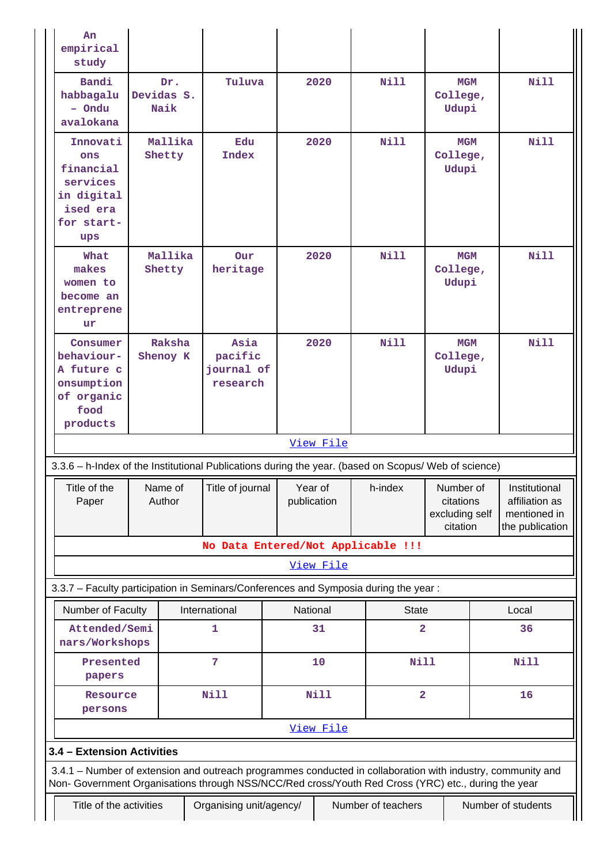| An<br>empirical<br>study                                                                                                                                                                                           |                     |         |                                           |  |                        |                                         |                                 |                                                      |                                                                    |
|--------------------------------------------------------------------------------------------------------------------------------------------------------------------------------------------------------------------|---------------------|---------|-------------------------------------------|--|------------------------|-----------------------------------------|---------------------------------|------------------------------------------------------|--------------------------------------------------------------------|
| Bandi<br>habbagalu<br>- Ondu<br>avalokana                                                                                                                                                                          | Devidas S.<br>Naik  | Dr.     | Tuluva                                    |  | 2020                   | <b>Nill</b>                             | <b>MGM</b><br>College,<br>Udupi |                                                      | N111                                                               |
| Innovati<br>ons<br>financial<br>services<br>in digital<br>ised era<br>for start-<br>ups                                                                                                                            | Mallika<br>Shetty   |         | Edu<br><b>Index</b>                       |  | 2020                   | <b>Nill</b>                             | <b>MGM</b><br>College,<br>Udupi |                                                      | <b>Nill</b>                                                        |
| What<br>makes<br>women to<br>become an<br>entreprene<br>ur                                                                                                                                                         | Mallika<br>Shetty   |         | Our<br>heritage                           |  | 2020                   | Nill                                    | <b>MGM</b><br>College,<br>Udupi |                                                      | <b>Nill</b>                                                        |
| Consumer<br>behaviour-<br>A future c<br>onsumption<br>of organic<br>food<br>products                                                                                                                               | Raksha<br>Shenoy K  |         | Asia<br>pacific<br>journal of<br>research |  | 2020                   | Nill                                    | <b>MGM</b><br>College,<br>Udupi |                                                      | Nill                                                               |
|                                                                                                                                                                                                                    |                     |         |                                           |  | View File              |                                         |                                 |                                                      |                                                                    |
| 3.3.6 - h-Index of the Institutional Publications during the year. (based on Scopus/ Web of science)                                                                                                               |                     |         |                                           |  |                        |                                         |                                 |                                                      |                                                                    |
| Title of the<br>Paper                                                                                                                                                                                              | Author              | Name of | Title of journal                          |  | Year of<br>publication | h-index                                 |                                 | Number of<br>citations<br>excluding self<br>citation | Institutional<br>affiliation as<br>mentioned in<br>the publication |
|                                                                                                                                                                                                                    |                     |         | No Data Entered/Not Applicable !!!        |  |                        |                                         |                                 |                                                      |                                                                    |
|                                                                                                                                                                                                                    |                     |         |                                           |  | View File              |                                         |                                 |                                                      |                                                                    |
| 3.3.7 - Faculty participation in Seminars/Conferences and Symposia during the year:                                                                                                                                |                     |         |                                           |  |                        |                                         |                                 |                                                      |                                                                    |
| Number of Faculty<br>Attended/Semi                                                                                                                                                                                 |                     |         | International<br>1                        |  | National<br>31         | <b>State</b><br>$\overline{\mathbf{2}}$ |                                 |                                                      | Local<br>36                                                        |
| nars/Workshops                                                                                                                                                                                                     |                     |         |                                           |  |                        |                                         |                                 |                                                      |                                                                    |
| Presented<br>papers                                                                                                                                                                                                |                     |         | 7                                         |  | 10                     | <b>Nill</b>                             |                                 |                                                      | <b>Nill</b>                                                        |
|                                                                                                                                                                                                                    | Resource<br>persons |         | <b>Nill</b>                               |  | Nill                   | $\overline{\mathbf{2}}$                 |                                 |                                                      | 16                                                                 |
|                                                                                                                                                                                                                    |                     |         |                                           |  | View File              |                                         |                                 |                                                      |                                                                    |
| 3.4 - Extension Activities                                                                                                                                                                                         |                     |         |                                           |  |                        |                                         |                                 |                                                      |                                                                    |
| 3.4.1 - Number of extension and outreach programmes conducted in collaboration with industry, community and<br>Non- Government Organisations through NSS/NCC/Red cross/Youth Red Cross (YRC) etc., during the year |                     |         |                                           |  |                        |                                         |                                 |                                                      |                                                                    |
| Title of the activities                                                                                                                                                                                            |                     |         | Organising unit/agency/                   |  |                        | Number of teachers                      |                                 |                                                      | Number of students                                                 |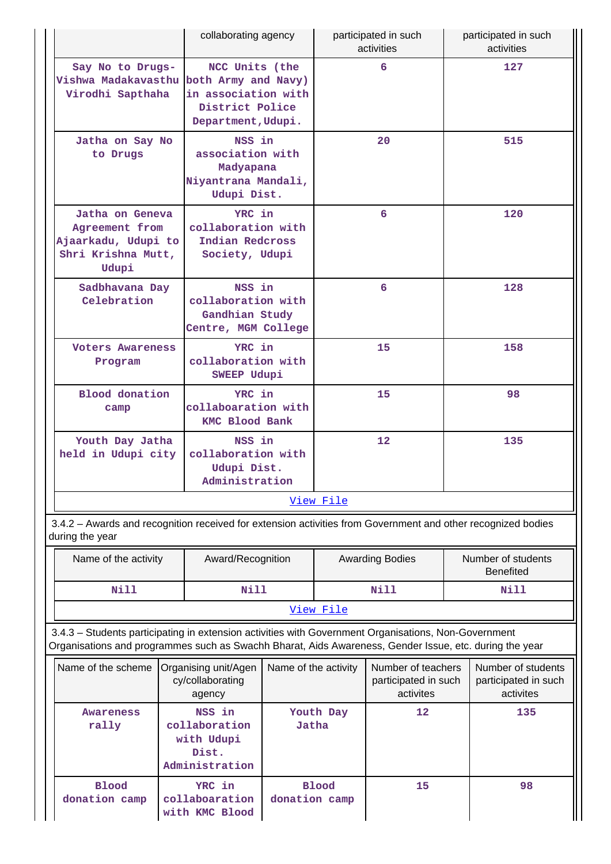|                                                                                                                                                                                                                | collaborating agency                                                          |                                                                                                       |                 | participated in such<br>activities                      |     | participated in such<br>activities                      |  |  |
|----------------------------------------------------------------------------------------------------------------------------------------------------------------------------------------------------------------|-------------------------------------------------------------------------------|-------------------------------------------------------------------------------------------------------|-----------------|---------------------------------------------------------|-----|---------------------------------------------------------|--|--|
| Say No to Drugs-<br>Vishwa Madakavasthu<br>Virodhi Sapthaha                                                                                                                                                    |                                                                               | NCC Units (the<br>both Army and Navy)<br>in association with<br>District Police<br>Department, Udupi. |                 | 6                                                       |     | 127                                                     |  |  |
| Jatha on Say No<br>to Drugs                                                                                                                                                                                    | NSS in<br>association with<br>Madyapana<br>Niyantrana Mandali,<br>Udupi Dist. |                                                                                                       |                 | 20                                                      | 515 |                                                         |  |  |
| Jatha on Geneva<br>Agreement from<br>Ajaarkadu, Udupi to<br>Shri Krishna Mutt,<br>Udupi                                                                                                                        |                                                                               | YRC in<br>collaboration with<br>Indian Redcross<br>Society, Udupi                                     |                 | 6                                                       |     | 120                                                     |  |  |
| Sadbhavana Day<br>Celebration                                                                                                                                                                                  | NSS in<br>collaboration with<br>Gandhian Study<br>Centre, MGM College         |                                                                                                       |                 | 6                                                       |     | 128                                                     |  |  |
| <b>Voters Awareness</b><br>Program                                                                                                                                                                             |                                                                               | YRC in<br>collaboration with<br>SWEEP Udupi                                                           |                 | 15                                                      |     | 158                                                     |  |  |
| <b>Blood</b> donation<br>camp                                                                                                                                                                                  |                                                                               | YRC in<br>collaboaration with<br><b>KMC Blood Bank</b>                                                |                 | 15                                                      |     | 98                                                      |  |  |
| Youth Day Jatha<br>held in Udupi city                                                                                                                                                                          |                                                                               | NSS in<br>collaboration with<br>Udupi Dist.<br>Administration                                         |                 | 12                                                      |     | 135                                                     |  |  |
|                                                                                                                                                                                                                |                                                                               |                                                                                                       | View File       |                                                         |     |                                                         |  |  |
| 3.4.2 - Awards and recognition received for extension activities from Government and other recognized bodies<br>during the year                                                                                |                                                                               |                                                                                                       |                 |                                                         |     |                                                         |  |  |
| Name of the activity                                                                                                                                                                                           | Award/Recognition                                                             |                                                                                                       |                 | <b>Awarding Bodies</b>                                  |     | Number of students<br><b>Benefited</b>                  |  |  |
| Nill                                                                                                                                                                                                           | Nill                                                                          |                                                                                                       |                 | Nill                                                    |     | Nill                                                    |  |  |
|                                                                                                                                                                                                                |                                                                               |                                                                                                       | View File       |                                                         |     |                                                         |  |  |
| 3.4.3 - Students participating in extension activities with Government Organisations, Non-Government<br>Organisations and programmes such as Swachh Bharat, Aids Awareness, Gender Issue, etc. during the year |                                                                               |                                                                                                       |                 |                                                         |     |                                                         |  |  |
| Name of the scheme<br>Organising unit/Agen<br>cy/collaborating<br>agency                                                                                                                                       |                                                                               | Name of the activity                                                                                  |                 | Number of teachers<br>participated in such<br>activites |     | Number of students<br>participated in such<br>activites |  |  |
| NSS in<br><b>Awareness</b><br>collaboration<br>rally<br>with Udupi<br>Dist.<br>Administration                                                                                                                  |                                                                               | Jatha                                                                                                 | Youth Day<br>12 |                                                         |     | 135                                                     |  |  |
| <b>Blood</b><br>donation camp                                                                                                                                                                                  | YRC in<br>collaboaration                                                      | donation camp                                                                                         | <b>Blood</b>    | 15                                                      |     | 98                                                      |  |  |

**with KMC Blood**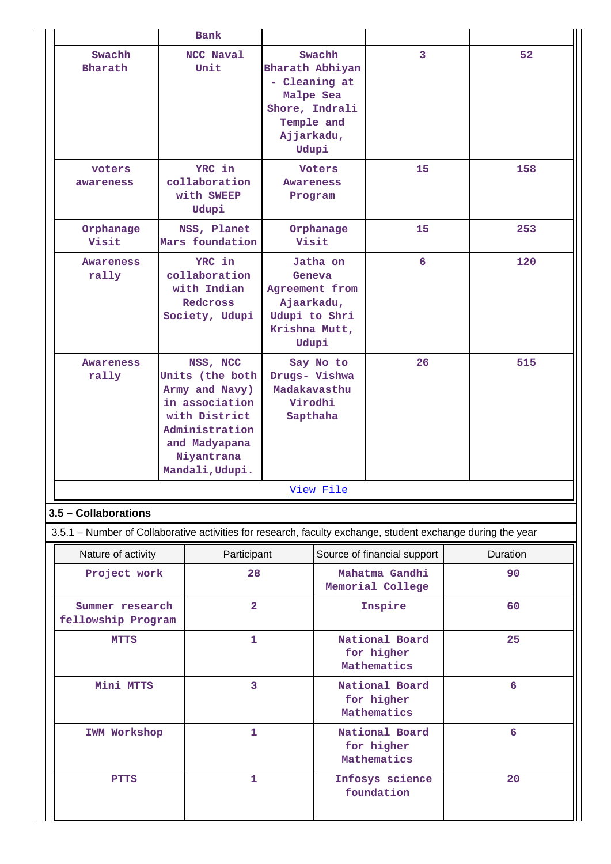|                                                                                                             |                         | <b>Bank</b>                                                                                                                                          |                                                                                                                                 |                                                                         |                                    |  |          |
|-------------------------------------------------------------------------------------------------------------|-------------------------|------------------------------------------------------------------------------------------------------------------------------------------------------|---------------------------------------------------------------------------------------------------------------------------------|-------------------------------------------------------------------------|------------------------------------|--|----------|
| Swachh<br>Bharath                                                                                           |                         | NCC Naval<br>Unit                                                                                                                                    | Swachh<br>Bharath Abhiyan<br>- Cleaning at<br>Malpe Sea<br>Shore, Indrali<br>Temple and<br>Ajjarkadu,<br>Udupi<br><b>Voters</b> |                                                                         | $\overline{3}$                     |  | 52       |
| voters<br>awareness                                                                                         |                         | YRC in<br>collaboration<br>with SWEEP<br>Udupi                                                                                                       | Awareness<br>Program                                                                                                            |                                                                         | 15                                 |  | 158      |
| Orphanage<br>Visit                                                                                          |                         | NSS, Planet<br>Mars foundation                                                                                                                       | Orphanage<br>Visit                                                                                                              |                                                                         | 15                                 |  | 253      |
| <b>Awareness</b><br>rally                                                                                   |                         | YRC in<br>collaboration<br>with Indian<br>Redcross<br>Society, Udupi                                                                                 | Jatha on<br>Geneva<br>Agreement from<br>Ajaarkadu,<br>Udupi to Shri<br>Krishna Mutt,<br>Udupi                                   |                                                                         | 6                                  |  | 120      |
| <b>Awareness</b><br>rally                                                                                   |                         | NSS, NCC<br>Units (the both<br>Army and Navy)<br>in association<br>with District<br>Administration<br>and Madyapana<br>Niyantrana<br>Mandali, Udupi. |                                                                                                                                 | Say No to<br>26<br>Drugs- Vishwa<br>Madakavasthu<br>Virodhi<br>Sapthaha |                                    |  | 515      |
|                                                                                                             |                         |                                                                                                                                                      |                                                                                                                                 | View File                                                               |                                    |  |          |
| 3.5 - Collaborations                                                                                        |                         |                                                                                                                                                      |                                                                                                                                 |                                                                         |                                    |  |          |
| 3.5.1 - Number of Collaborative activities for research, faculty exchange, student exchange during the year |                         |                                                                                                                                                      |                                                                                                                                 |                                                                         |                                    |  |          |
| Nature of activity                                                                                          |                         | Participant                                                                                                                                          |                                                                                                                                 |                                                                         | Source of financial support        |  | Duration |
|                                                                                                             | Project work<br>28      |                                                                                                                                                      |                                                                                                                                 |                                                                         | Mahatma Gandhi<br>Memorial College |  | 90       |
| Summer research<br>fellowship Program                                                                       | $\overline{\mathbf{2}}$ |                                                                                                                                                      |                                                                                                                                 | Inspire                                                                 |                                    |  | 60       |
| <b>MTTS</b>                                                                                                 |                         | $\mathbf{1}$                                                                                                                                         |                                                                                                                                 |                                                                         | National Board<br>for higher       |  | 25       |

**for higher Mathematics**

**for higher Mathematics**

**foundation**

 **6**

 **6**

 **20**

| lowship Program |                                             |
|-----------------|---------------------------------------------|
| <b>MTTS</b>     | National Board<br>for higher<br>Mathematics |
| Mini MTTS       | National Board                              |

**IWM Workshop 1 1 National Board** 

PTTS 1 1 Infosys science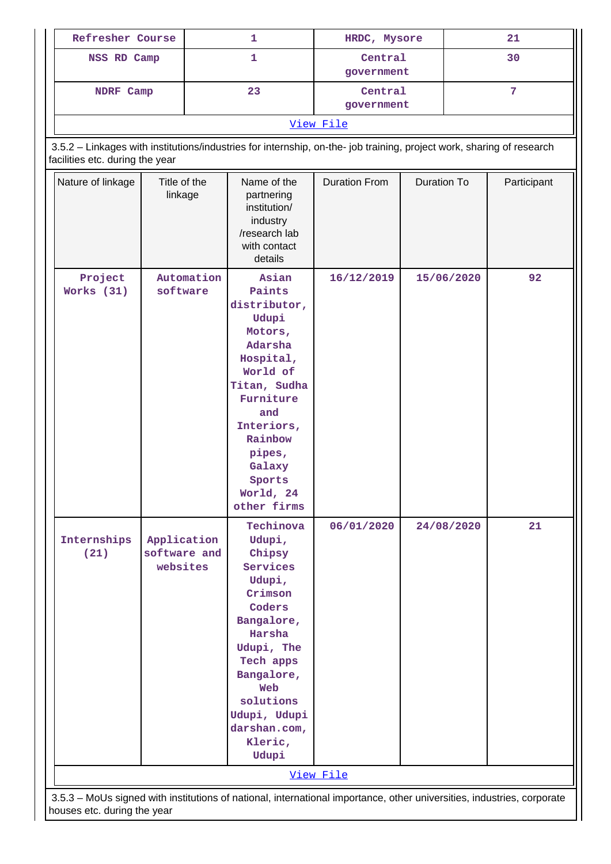| Refresher Course                                                                                                                                         |                                         | 1  |                                                                                                                                                                                                                   | HRDC, Mysore          |             | 21         |             |
|----------------------------------------------------------------------------------------------------------------------------------------------------------|-----------------------------------------|----|-------------------------------------------------------------------------------------------------------------------------------------------------------------------------------------------------------------------|-----------------------|-------------|------------|-------------|
|                                                                                                                                                          | $\mathbf{1}$<br>NSS RD Camp             |    |                                                                                                                                                                                                                   | Central<br>government |             | 30         |             |
| NDRF Camp                                                                                                                                                |                                         | 23 | Central<br>government                                                                                                                                                                                             |                       | 7           |            |             |
|                                                                                                                                                          |                                         |    |                                                                                                                                                                                                                   | View File             |             |            |             |
| 3.5.2 - Linkages with institutions/industries for internship, on-the- job training, project work, sharing of research<br>facilities etc. during the year |                                         |    |                                                                                                                                                                                                                   |                       |             |            |             |
| Nature of linkage                                                                                                                                        | Title of the<br>linkage                 |    | Name of the<br>partnering<br>institution/<br>industry<br>/research lab<br>with contact<br>details                                                                                                                 | <b>Duration From</b>  | Duration To |            | Participant |
| Project<br>Works (31)                                                                                                                                    | Automation<br>software                  |    | Asian<br>Paints<br>distributor,<br>Udupi<br>Motors,<br>Adarsha<br>Hospital,<br>World of<br>Titan, Sudha<br>Furniture<br>and<br>Interiors,<br>Rainbow<br>pipes,<br>Galaxy<br>Sports<br>World, 24<br>other firms    | 16/12/2019            | 15/06/2020  |            | 92          |
| Internships<br>(21)                                                                                                                                      | Application<br>software and<br>websites |    | Techinova<br>Udupi,<br>Chipsy<br>Services<br>Udupi,<br>Crimson<br>Coders<br>Bangalore,<br>Harsha<br>Udupi, The<br>Tech apps<br>Bangalore,<br>Web<br>solutions<br>Udupi, Udupi<br>darshan.com,<br>Kleric,<br>Udupi | 06/01/2020            |             | 24/08/2020 | 21          |
|                                                                                                                                                          |                                         |    |                                                                                                                                                                                                                   | View File             |             |            |             |
| 3.5.3 - MoUs signed with institutions of national, international importance, other universities, industries, corporate<br>houses etc. during the year    |                                         |    |                                                                                                                                                                                                                   |                       |             |            |             |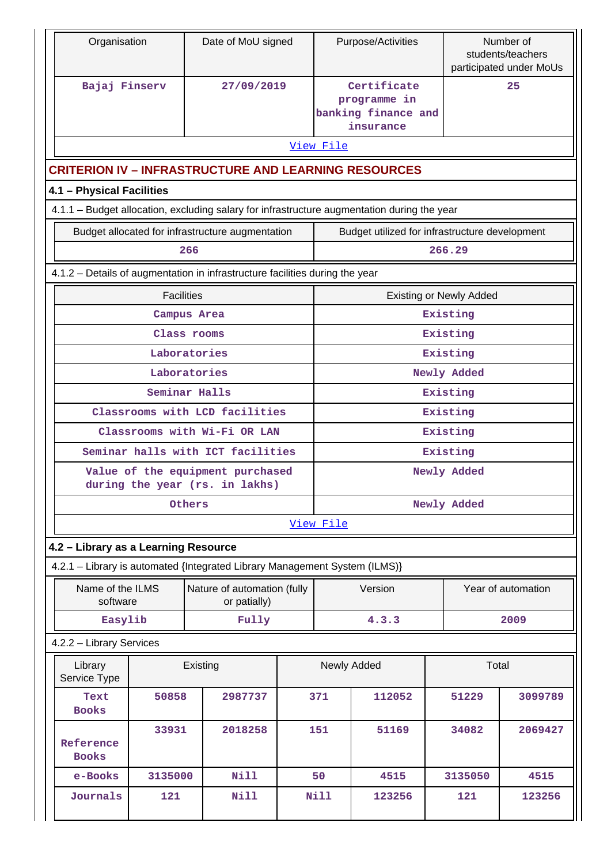| Organisation                                                                                |                   | Date of MoU signed                                                 |             | Purpose/Activities                                              |                                | Number of<br>students/teachers<br>participated under MoUs |
|---------------------------------------------------------------------------------------------|-------------------|--------------------------------------------------------------------|-------------|-----------------------------------------------------------------|--------------------------------|-----------------------------------------------------------|
| Bajaj Finserv                                                                               |                   | 27/09/2019                                                         |             | Certificate<br>programme in<br>banking finance and<br>insurance |                                | 25                                                        |
|                                                                                             |                   |                                                                    | View File   |                                                                 |                                |                                                           |
| <b>CRITERION IV - INFRASTRUCTURE AND LEARNING RESOURCES</b>                                 |                   |                                                                    |             |                                                                 |                                |                                                           |
| 4.1 - Physical Facilities                                                                   |                   |                                                                    |             |                                                                 |                                |                                                           |
| 4.1.1 - Budget allocation, excluding salary for infrastructure augmentation during the year |                   |                                                                    |             |                                                                 |                                |                                                           |
|                                                                                             |                   | Budget allocated for infrastructure augmentation                   |             | Budget utilized for infrastructure development                  |                                |                                                           |
|                                                                                             | 266               |                                                                    |             |                                                                 | 266.29                         |                                                           |
| 4.1.2 - Details of augmentation in infrastructure facilities during the year                |                   |                                                                    |             |                                                                 |                                |                                                           |
|                                                                                             | <b>Facilities</b> |                                                                    |             |                                                                 | <b>Existing or Newly Added</b> |                                                           |
|                                                                                             | Campus Area       |                                                                    |             |                                                                 | Existing                       |                                                           |
|                                                                                             | Class rooms       |                                                                    |             |                                                                 | Existing                       |                                                           |
|                                                                                             | Laboratories      |                                                                    |             |                                                                 | Existing                       |                                                           |
|                                                                                             | Laboratories      |                                                                    |             |                                                                 | Newly Added                    |                                                           |
|                                                                                             | Seminar Halls     |                                                                    | Existing    |                                                                 |                                |                                                           |
|                                                                                             |                   | Classrooms with LCD facilities                                     | Existing    |                                                                 |                                |                                                           |
|                                                                                             |                   | Classrooms with Wi-Fi OR LAN                                       | Existing    |                                                                 |                                |                                                           |
|                                                                                             |                   | Seminar halls with ICT facilities                                  | Existing    |                                                                 |                                |                                                           |
|                                                                                             |                   | Value of the equipment purchased<br>during the year (rs. in lakhs) | Newly Added |                                                                 |                                |                                                           |
|                                                                                             | Others            |                                                                    | Newly Added |                                                                 |                                |                                                           |
|                                                                                             |                   |                                                                    | View File   |                                                                 |                                |                                                           |
| 4.2 - Library as a Learning Resource                                                        |                   |                                                                    |             |                                                                 |                                |                                                           |
| 4.2.1 - Library is automated {Integrated Library Management System (ILMS)}                  |                   |                                                                    |             |                                                                 |                                |                                                           |
| Name of the ILMS<br>software                                                                |                   | Nature of automation (fully<br>or patially)                        |             | Version                                                         |                                | Year of automation                                        |
| Easylib                                                                                     |                   | Fully                                                              |             | 4.3.3                                                           |                                | 2009                                                      |
| 4.2.2 - Library Services                                                                    |                   |                                                                    |             |                                                                 |                                |                                                           |
| Library<br>Service Type                                                                     |                   | Existing                                                           | Newly Added |                                                                 |                                | Total                                                     |
| Text<br><b>Books</b>                                                                        | 50858             | 2987737                                                            | 371         | 112052                                                          | 51229                          | 3099789                                                   |
| Reference<br><b>Books</b>                                                                   | 33931             | 2018258                                                            | 151         | 51169                                                           | 34082                          | 2069427                                                   |
| e-Books                                                                                     | 3135000           | <b>Nill</b>                                                        | 50          | 4515                                                            | 3135050                        | 4515                                                      |
| Journals                                                                                    | 121               | <b>Nill</b>                                                        | Nill        | 123256                                                          | 121                            | 123256                                                    |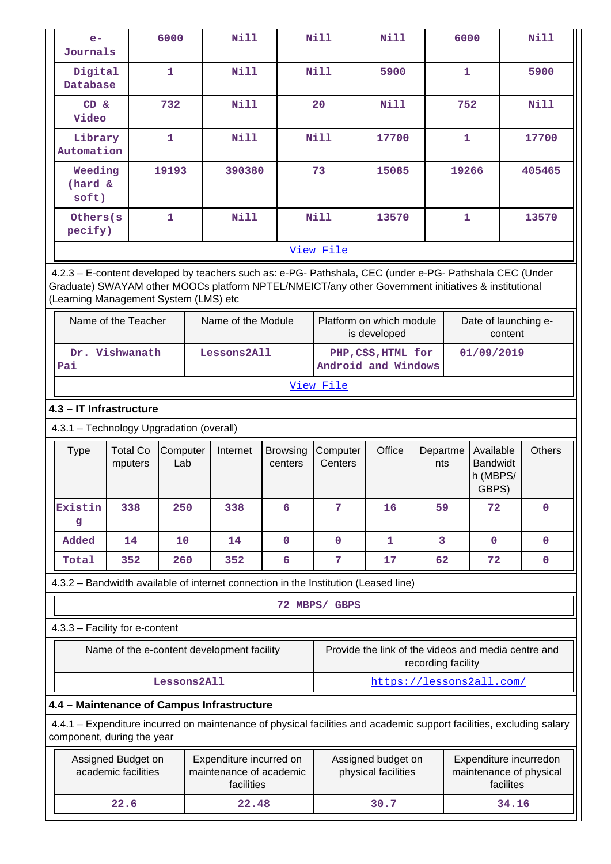| $e-$<br>Journals                                                                                                                                                                                                                                        |                            | 6000            | Nill                                                             |                            | <b>Nill</b>         | Nill                                                | 6000                    |                                                                | <b>Nill</b>   |
|---------------------------------------------------------------------------------------------------------------------------------------------------------------------------------------------------------------------------------------------------------|----------------------------|-----------------|------------------------------------------------------------------|----------------------------|---------------------|-----------------------------------------------------|-------------------------|----------------------------------------------------------------|---------------|
| Digital<br>Database                                                                                                                                                                                                                                     |                            | $\mathbf{1}$    | <b>Nill</b>                                                      |                            | Nill                | 5900                                                | $\mathbf{1}$            |                                                                | 5900          |
| CD &<br>Video                                                                                                                                                                                                                                           |                            | 732             | <b>Nill</b>                                                      |                            | 20                  | <b>Nill</b>                                         |                         | 752                                                            | <b>Nill</b>   |
| Library<br>Automation                                                                                                                                                                                                                                   |                            | $\mathbf{1}$    | <b>Nill</b>                                                      |                            | <b>Nill</b>         | 17700                                               |                         | $\mathbf{1}$                                                   | 17700         |
| Weeding<br>(hard &<br>soft)                                                                                                                                                                                                                             |                            | 19193           | 390380                                                           |                            | 73                  | 15085                                               | 19266                   |                                                                | 405465        |
| Others(s<br>pecify)                                                                                                                                                                                                                                     |                            | $\mathbf{1}$    | <b>Nill</b>                                                      |                            | <b>Nill</b>         | 13570                                               | $\mathbf{1}$            |                                                                | 13570         |
|                                                                                                                                                                                                                                                         |                            |                 |                                                                  |                            | View File           |                                                     |                         |                                                                |               |
| 4.2.3 - E-content developed by teachers such as: e-PG- Pathshala, CEC (under e-PG- Pathshala CEC (Under<br>Graduate) SWAYAM other MOOCs platform NPTEL/NMEICT/any other Government initiatives & institutional<br>(Learning Management System (LMS) etc |                            |                 |                                                                  |                            |                     |                                                     |                         |                                                                |               |
| Name of the Teacher                                                                                                                                                                                                                                     |                            |                 | Name of the Module                                               |                            |                     | Platform on which module<br>is developed            |                         | Date of launching e-<br>content                                |               |
| Dr. Vishwanath<br>Pai                                                                                                                                                                                                                                   |                            |                 | Lessons2All                                                      |                            |                     | PHP, CSS, HTML for<br>Android and Windows           |                         | 01/09/2019                                                     |               |
|                                                                                                                                                                                                                                                         |                            |                 |                                                                  |                            | View File           |                                                     |                         |                                                                |               |
| 4.3 - IT Infrastructure                                                                                                                                                                                                                                 |                            |                 |                                                                  |                            |                     |                                                     |                         |                                                                |               |
| 4.3.1 - Technology Upgradation (overall)                                                                                                                                                                                                                |                            |                 |                                                                  |                            |                     |                                                     |                         |                                                                |               |
| <b>Type</b>                                                                                                                                                                                                                                             | <b>Total Co</b><br>mputers | Computer<br>Lab | Internet                                                         | <b>Browsing</b><br>centers | Computer<br>Centers | Office                                              | Departme<br>nts         | Available<br><b>Bandwidt</b><br>h (MBPS/<br>GBPS)              | <b>Others</b> |
| Existin<br>g                                                                                                                                                                                                                                            | 338                        | 250             | 338                                                              | 6                          | 7                   | 16                                                  | 59                      | 72                                                             | $\mathbf 0$   |
| Added                                                                                                                                                                                                                                                   | 14                         |                 |                                                                  |                            |                     |                                                     |                         |                                                                |               |
|                                                                                                                                                                                                                                                         |                            | 10              | 14                                                               | $\mathbf 0$                | $\mathbf 0$         | $\mathbf{1}$                                        | $\overline{\mathbf{3}}$ | $\mathbf 0$                                                    | $\mathbf 0$   |
| Total                                                                                                                                                                                                                                                   | 352                        | 260             | 352                                                              | 6                          | 7                   | 17                                                  | 62                      | 72                                                             | $\mathbf 0$   |
| 4.3.2 - Bandwidth available of internet connection in the Institution (Leased line)                                                                                                                                                                     |                            |                 |                                                                  |                            |                     |                                                     |                         |                                                                |               |
|                                                                                                                                                                                                                                                         |                            |                 |                                                                  |                            | 72 MBPS/ GBPS       |                                                     |                         |                                                                |               |
| 4.3.3 - Facility for e-content                                                                                                                                                                                                                          |                            |                 |                                                                  |                            |                     |                                                     |                         |                                                                |               |
|                                                                                                                                                                                                                                                         |                            |                 | Name of the e-content development facility                       |                            |                     | Provide the link of the videos and media centre and | recording facility      |                                                                |               |
|                                                                                                                                                                                                                                                         |                            | Lessons2All     |                                                                  |                            |                     |                                                     |                         | https://lessons2all.com/                                       |               |
| 4.4 - Maintenance of Campus Infrastructure                                                                                                                                                                                                              |                            |                 |                                                                  |                            |                     |                                                     |                         |                                                                |               |
| 4.4.1 – Expenditure incurred on maintenance of physical facilities and academic support facilities, excluding salary<br>component, during the year                                                                                                      |                            |                 |                                                                  |                            |                     |                                                     |                         |                                                                |               |
| Assigned Budget on                                                                                                                                                                                                                                      | academic facilities        |                 | Expenditure incurred on<br>maintenance of academic<br>facilities |                            |                     | Assigned budget on<br>physical facilities           |                         | Expenditure incurredon<br>maintenance of physical<br>facilites |               |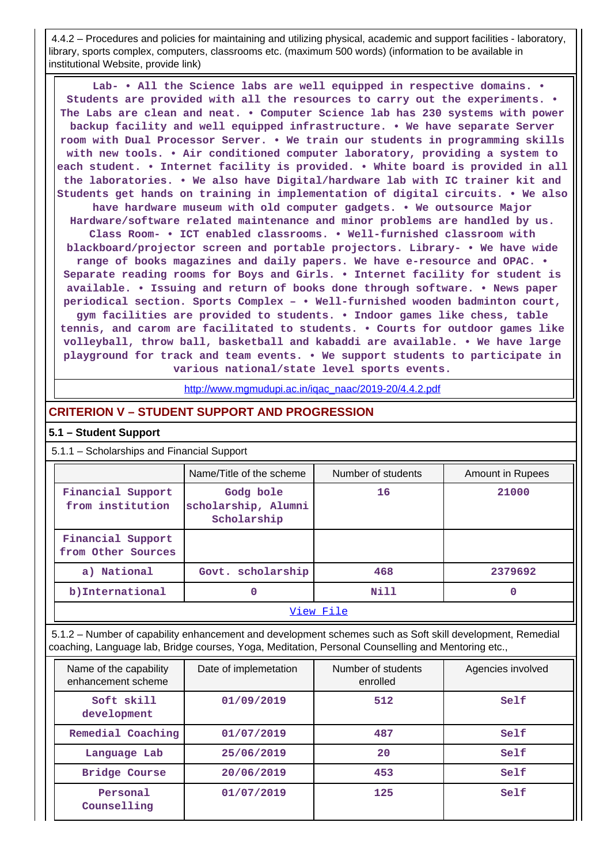4.4.2 – Procedures and policies for maintaining and utilizing physical, academic and support facilities - laboratory, library, sports complex, computers, classrooms etc. (maximum 500 words) (information to be available in institutional Website, provide link)

 **Lab- • All the Science labs are well equipped in respective domains. • Students are provided with all the resources to carry out the experiments. • The Labs are clean and neat. • Computer Science lab has 230 systems with power backup facility and well equipped infrastructure. • We have separate Server room with Dual Processor Server. • We train our students in programming skills with new tools. • Air conditioned computer laboratory, providing a system to each student. • Internet facility is provided. • White board is provided in all the laboratories. • We also have Digital/hardware lab with IC trainer kit and Students get hands on training in implementation of digital circuits. • We also have hardware museum with old computer gadgets. • We outsource Major Hardware/software related maintenance and minor problems are handled by us. Class Room- • ICT enabled classrooms. • Well-furnished classroom with blackboard/projector screen and portable projectors. Library- • We have wide range of books magazines and daily papers. We have e-resource and OPAC. • Separate reading rooms for Boys and Girls. • Internet facility for student is available. • Issuing and return of books done through software. • News paper periodical section. Sports Complex – • Well-furnished wooden badminton court, gym facilities are provided to students. • Indoor games like chess, table tennis, and carom are facilitated to students. • Courts for outdoor games like volleyball, throw ball, basketball and kabaddi are available. • We have large playground for track and team events. • We support students to participate in various national/state level sports events.**

[http://www.mgmudupi.ac.in/iqac\\_naac/2019-20/4.4.2.pdf](http://www.mgmudupi.ac.in/iqac_naac/2019-20/4.4.2.pdf)

## **CRITERION V – STUDENT SUPPORT AND PROGRESSION**

### **5.1 – Student Support**

5.1.1 – Scholarships and Financial Support

|                                         | Name/Title of the scheme                        | Number of students | <b>Amount in Rupees</b> |  |  |
|-----------------------------------------|-------------------------------------------------|--------------------|-------------------------|--|--|
| Financial Support<br>from institution   | Godg bole<br>scholarship, Alumni<br>Scholarship | 16                 | 21000                   |  |  |
| Financial Support<br>from Other Sources |                                                 |                    |                         |  |  |
| a) National                             | Govt. scholarship                               | 468                | 2379692                 |  |  |
| b)International                         | 0                                               | Nill               | 0                       |  |  |
| View File                               |                                                 |                    |                         |  |  |

 5.1.2 – Number of capability enhancement and development schemes such as Soft skill development, Remedial coaching, Language lab, Bridge courses, Yoga, Meditation, Personal Counselling and Mentoring etc.,

| Name of the capability<br>enhancement scheme | Date of implemetation | Number of students<br>enrolled | Agencies involved |
|----------------------------------------------|-----------------------|--------------------------------|-------------------|
| Soft skill<br>development                    | 01/09/2019            | 512                            | Self              |
| Remedial Coaching                            | 01/07/2019            | 487                            | Self              |
| Language Lab                                 | 25/06/2019            | 20                             | Self              |
| Bridge Course                                | 20/06/2019            | 453                            | Self              |
| Personal<br>Counselling                      | 01/07/2019            | 125                            | Self              |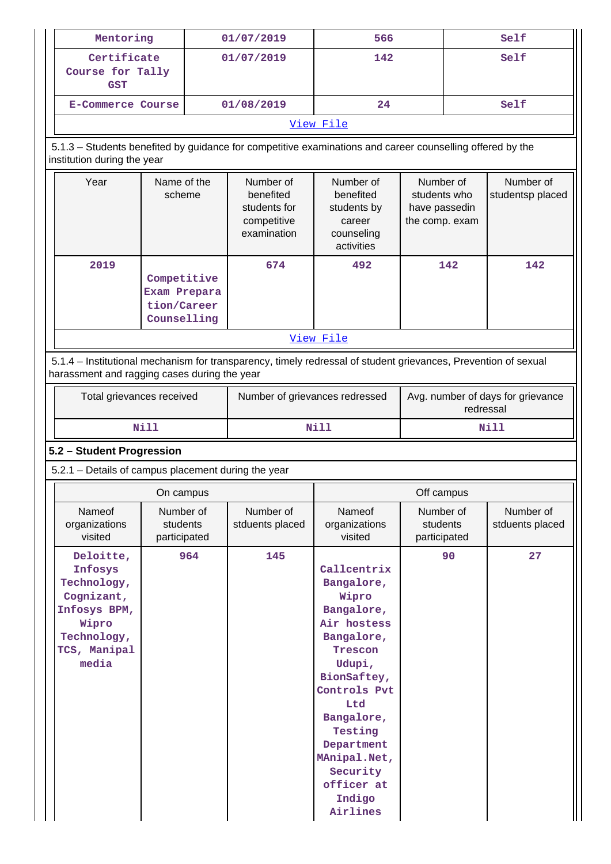|                                                                                                                                                                | Mentoring<br>01/07/2019                                   |     | 566                                                                  |                                                                                                                                                                                                                                                 |                                                              | Self                                           |                               |
|----------------------------------------------------------------------------------------------------------------------------------------------------------------|-----------------------------------------------------------|-----|----------------------------------------------------------------------|-------------------------------------------------------------------------------------------------------------------------------------------------------------------------------------------------------------------------------------------------|--------------------------------------------------------------|------------------------------------------------|-------------------------------|
| <b>GST</b>                                                                                                                                                     | Certificate<br>Course for Tally                           |     | 01/07/2019                                                           | 142                                                                                                                                                                                                                                             |                                                              | Self                                           |                               |
| <b>E-Commerce Course</b>                                                                                                                                       |                                                           |     | 01/08/2019                                                           | 24                                                                                                                                                                                                                                              |                                                              |                                                | Self                          |
|                                                                                                                                                                |                                                           |     |                                                                      | View File                                                                                                                                                                                                                                       |                                                              |                                                |                               |
| 5.1.3 - Students benefited by guidance for competitive examinations and career counselling offered by the<br>institution during the year                       |                                                           |     |                                                                      |                                                                                                                                                                                                                                                 |                                                              |                                                |                               |
| Year                                                                                                                                                           | Name of the<br>scheme                                     |     | Number of<br>benefited<br>students for<br>competitive<br>examination | Number of<br>benefited<br>students by<br>career<br>counseling<br>activities                                                                                                                                                                     | Number of<br>students who<br>have passedin<br>the comp. exam |                                                | Number of<br>studentsp placed |
| 2019                                                                                                                                                           | Competitive<br>Exam Prepara<br>tion/Career<br>Counselling |     | 674                                                                  | 492                                                                                                                                                                                                                                             |                                                              | 142                                            | 142                           |
|                                                                                                                                                                |                                                           |     |                                                                      | View File                                                                                                                                                                                                                                       |                                                              |                                                |                               |
| 5.1.4 – Institutional mechanism for transparency, timely redressal of student grievances, Prevention of sexual<br>harassment and ragging cases during the year |                                                           |     |                                                                      |                                                                                                                                                                                                                                                 |                                                              |                                                |                               |
| Total grievances received                                                                                                                                      |                                                           |     | Number of grievances redressed                                       |                                                                                                                                                                                                                                                 |                                                              | Avg. number of days for grievance<br>redressal |                               |
|                                                                                                                                                                | <b>Nill</b>                                               |     |                                                                      | Nill                                                                                                                                                                                                                                            |                                                              |                                                | Nill                          |
| 5.2 - Student Progression                                                                                                                                      |                                                           |     |                                                                      |                                                                                                                                                                                                                                                 |                                                              |                                                |                               |
| 5.2.1 - Details of campus placement during the year                                                                                                            |                                                           |     |                                                                      |                                                                                                                                                                                                                                                 |                                                              |                                                |                               |
|                                                                                                                                                                | On campus                                                 |     |                                                                      |                                                                                                                                                                                                                                                 | Off campus                                                   |                                                |                               |
| Nameof<br>organizations<br>visited                                                                                                                             | Number of<br>students<br>participated                     |     | Number of<br>stduents placed                                         | Nameof<br>organizations<br>visited                                                                                                                                                                                                              | Number of<br>students<br>participated                        |                                                | Number of<br>stduents placed  |
| Deloitte,<br>Infosys<br>Technology,<br>Cognizant,<br>Infosys BPM,<br>Wipro<br>Technology,<br>TCS, Manipal<br>media                                             |                                                           | 964 | 145                                                                  | Callcentrix<br>Bangalore,<br>Wipro<br>Bangalore,<br>Air hostess<br>Bangalore,<br>Trescon<br>Udupi,<br>BionSaftey,<br>Controls Pvt<br>Ltd<br>Bangalore,<br>Testing<br>Department<br>MAnipal.Net,<br>Security<br>officer at<br>Indigo<br>Airlines |                                                              | 90                                             | 27                            |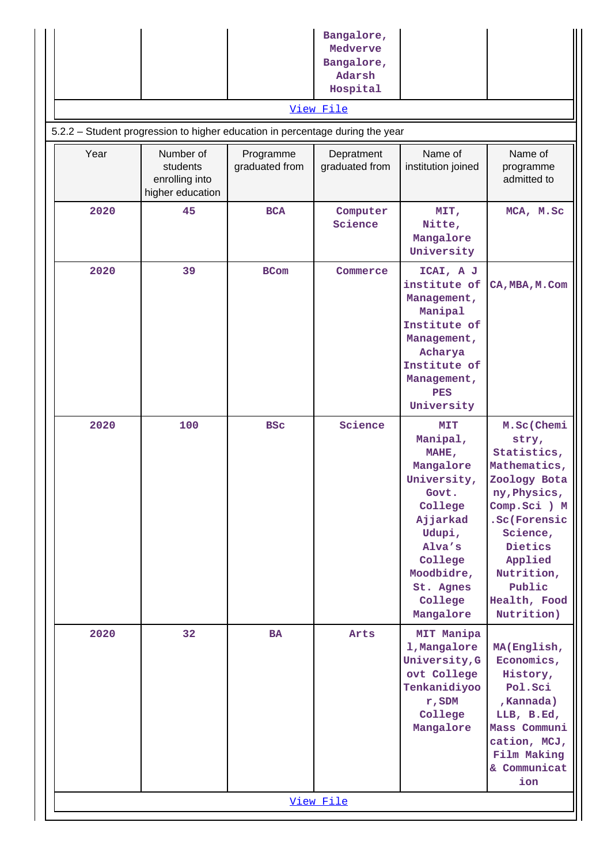|      |                                                                               |                             | Bangalore,<br>Medverve<br>Bangalore,<br>Adarsh<br>Hospital |                                                                                                                                                                               |                                                                                                                                                                                                            |
|------|-------------------------------------------------------------------------------|-----------------------------|------------------------------------------------------------|-------------------------------------------------------------------------------------------------------------------------------------------------------------------------------|------------------------------------------------------------------------------------------------------------------------------------------------------------------------------------------------------------|
|      | 5.2.2 - Student progression to higher education in percentage during the year |                             | View File                                                  |                                                                                                                                                                               |                                                                                                                                                                                                            |
| Year | Number of<br>students<br>enrolling into<br>higher education                   | Programme<br>graduated from | Depratment<br>graduated from                               | Name of<br>institution joined                                                                                                                                                 | Name of<br>programme<br>admitted to                                                                                                                                                                        |
| 2020 | 45                                                                            | <b>BCA</b>                  | Computer<br>Science                                        | MIT,<br>Nitte,<br>Mangalore<br>University                                                                                                                                     | MCA, M.Sc                                                                                                                                                                                                  |
| 2020 | 39                                                                            | <b>BCom</b>                 | Commerce                                                   | ICAI, A J<br>institute of<br>Management,<br>Manipal<br>Institute of<br>Management,<br>Acharya<br>Institute of<br>Management,<br><b>PES</b><br>University                      | CA, MBA, M. Com                                                                                                                                                                                            |
| 2020 | 100                                                                           | <b>BSC</b>                  | Science                                                    | <b>MIT</b><br>Manipal,<br>MAHE,<br>Mangalore<br>University,<br>Govt.<br>College<br>Ajjarkad<br>Udupi,<br>Alva's<br>College<br>Moodbidre,<br>St. Agnes<br>College<br>Mangalore | M.Sc(Chemi<br>stry,<br>Statistics,<br>Mathematics,<br>Zoology Bota<br>ny, Physics,<br>Comp.Sci ) M<br>.Sc(Forensic<br>Science,<br>Dietics<br>Applied<br>Nutrition,<br>Public<br>Health, Food<br>Nutrition) |
| 2020 | 32                                                                            | <b>BA</b>                   | Arts                                                       | MIT Manipa<br>1, Mangalore<br>University, G<br>ovt College<br>Tenkanidiyoo<br>r, SDM<br>College<br>Mangalore                                                                  | MA(English,<br>Economics,<br>History,<br>Pol.Sci<br>, Kannada)<br>LLB, B.Ed,<br>Mass Communi<br>cation, MCJ,<br>Film Making<br>& Communicat<br>ion                                                         |
|      |                                                                               |                             | View File                                                  |                                                                                                                                                                               |                                                                                                                                                                                                            |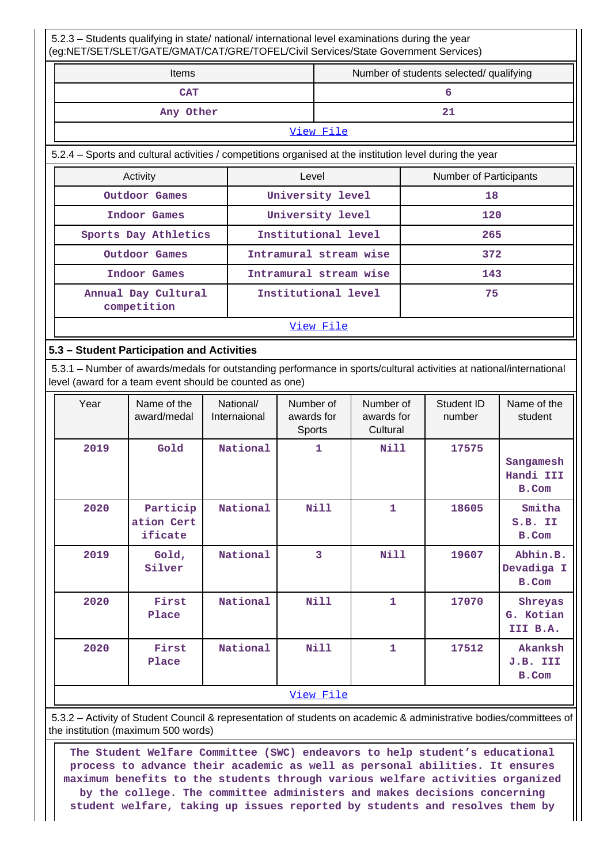5.2.3 – Students qualifying in state/ national/ international level examinations during the year (eg:NET/SET/SLET/GATE/GMAT/CAT/GRE/TOFEL/Civil Services/State Government Services)

| <b>Items</b> | Number of students selected/ qualifying |
|--------------|-----------------------------------------|
| <b>CAT</b>   |                                         |
| Any Other    |                                         |

#### [View File](https://assessmentonline.naac.gov.in/public/Postacc/Qualifying/10169_Qualifying_1618896560.xlsx)

5.2.4 – Sports and cultural activities / competitions organised at the institution level during the year

| Activity                           | Level                  | Number of Participants |  |  |
|------------------------------------|------------------------|------------------------|--|--|
| Outdoor Games                      | University level       | 18                     |  |  |
| Indoor Games                       | University level       | 120                    |  |  |
| Sports Day Athletics               | Institutional level    | 265                    |  |  |
| Outdoor Games                      | Intramural stream wise | 372                    |  |  |
| Indoor Games                       | Intramural stream wise | 143                    |  |  |
| Annual Day Cultural<br>competition | Institutional level    | 75                     |  |  |
| View File                          |                        |                        |  |  |

#### **5.3 – Student Participation and Activities**

 5.3.1 – Number of awards/medals for outstanding performance in sports/cultural activities at national/international level (award for a team event should be counted as one)

| Year | Name of the<br>award/medal        | National/<br>Internaional | Number of<br>awards for<br>Sports | Number of<br>awards for<br>Cultural | Student ID<br>number | Name of the<br>student                 |
|------|-----------------------------------|---------------------------|-----------------------------------|-------------------------------------|----------------------|----------------------------------------|
| 2019 | Gold                              | National                  | 1                                 | Nill                                | 17575                | Sangamesh<br>Handi III<br>B.Com        |
| 2020 | Particip<br>ation Cert<br>ificate | National                  | Nill                              | 1                                   | 18605                | Smitha<br>S.B. II<br>B.Com             |
| 2019 | Gold,<br>Silver                   | National                  | 3                                 | <b>Nill</b>                         | 19607                | Abhin.B.<br>Devadiga I<br><b>B.Com</b> |
| 2020 | First<br>Place                    | National                  | <b>Nill</b>                       | $\mathbf{1}$                        | 17070                | Shreyas<br>G. Kotian<br>III B.A.       |
| 2020 | First<br>Place                    | National                  | <b>Nill</b>                       | 1                                   | 17512                | Akanksh<br>J.B. III<br>B.Com           |
|      |                                   |                           | View File                         |                                     |                      |                                        |

 5.3.2 – Activity of Student Council & representation of students on academic & administrative bodies/committees of the institution (maximum 500 words)

 **The Student Welfare Committee (SWC) endeavors to help student's educational process to advance their academic as well as personal abilities. It ensures maximum benefits to the students through various welfare activities organized by the college. The committee administers and makes decisions concerning student welfare, taking up issues reported by students and resolves them by**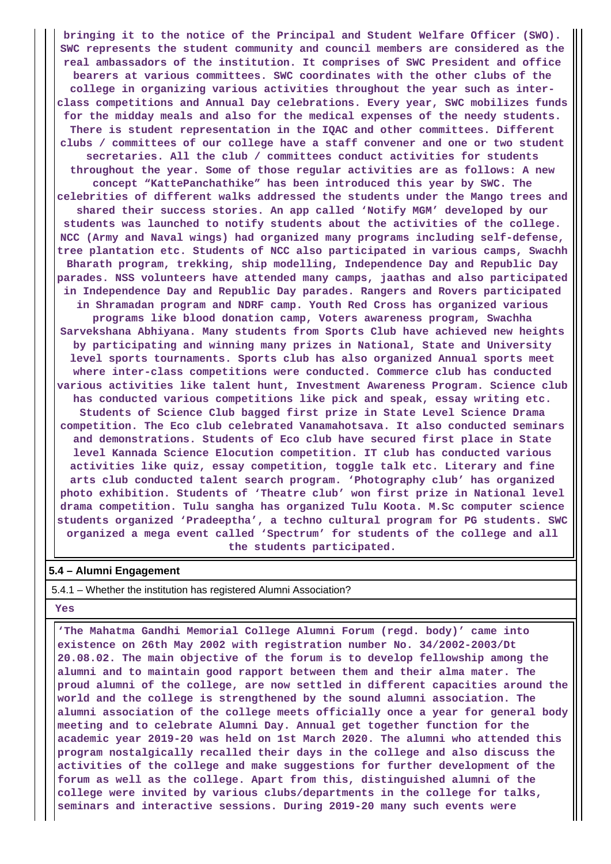**bringing it to the notice of the Principal and Student Welfare Officer (SWO). SWC represents the student community and council members are considered as the real ambassadors of the institution. It comprises of SWC President and office bearers at various committees. SWC coordinates with the other clubs of the college in organizing various activities throughout the year such as interclass competitions and Annual Day celebrations. Every year, SWC mobilizes funds for the midday meals and also for the medical expenses of the needy students. There is student representation in the IQAC and other committees. Different clubs / committees of our college have a staff convener and one or two student secretaries. All the club / committees conduct activities for students throughout the year. Some of those regular activities are as follows: A new concept "KattePanchathike" has been introduced this year by SWC. The celebrities of different walks addressed the students under the Mango trees and shared their success stories. An app called 'Notify MGM' developed by our students was launched to notify students about the activities of the college. NCC (Army and Naval wings) had organized many programs including self-defense, tree plantation etc. Students of NCC also participated in various camps, Swachh Bharath program, trekking, ship modelling, Independence Day and Republic Day parades. NSS volunteers have attended many camps, jaathas and also participated in Independence Day and Republic Day parades. Rangers and Rovers participated in Shramadan program and NDRF camp. Youth Red Cross has organized various programs like blood donation camp, Voters awareness program, Swachha Sarvekshana Abhiyana. Many students from Sports Club have achieved new heights by participating and winning many prizes in National, State and University level sports tournaments. Sports club has also organized Annual sports meet where inter-class competitions were conducted. Commerce club has conducted various activities like talent hunt, Investment Awareness Program. Science club has conducted various competitions like pick and speak, essay writing etc. Students of Science Club bagged first prize in State Level Science Drama competition. The Eco club celebrated Vanamahotsava. It also conducted seminars and demonstrations. Students of Eco club have secured first place in State level Kannada Science Elocution competition. IT club has conducted various activities like quiz, essay competition, toggle talk etc. Literary and fine arts club conducted talent search program. 'Photography club' has organized photo exhibition. Students of 'Theatre club' won first prize in National level drama competition. Tulu sangha has organized Tulu Koota. M.Sc computer science students organized 'Pradeeptha', a techno cultural program for PG students. SWC organized a mega event called 'Spectrum' for students of the college and all the students participated.**

#### **5.4 – Alumni Engagement**

5.4.1 – Whether the institution has registered Alumni Association?

 **Yes**

 **'The Mahatma Gandhi Memorial College Alumni Forum (regd. body)' came into existence on 26th May 2002 with registration number No. 34/2002-2003/Dt 20.08.02. The main objective of the forum is to develop fellowship among the alumni and to maintain good rapport between them and their alma mater. The proud alumni of the college, are now settled in different capacities around the world and the college is strengthened by the sound alumni association. The alumni association of the college meets officially once a year for general body meeting and to celebrate Alumni Day. Annual get together function for the academic year 2019-20 was held on 1st March 2020. The alumni who attended this program nostalgically recalled their days in the college and also discuss the activities of the college and make suggestions for further development of the forum as well as the college. Apart from this, distinguished alumni of the college were invited by various clubs/departments in the college for talks, seminars and interactive sessions. During 2019-20 many such events were**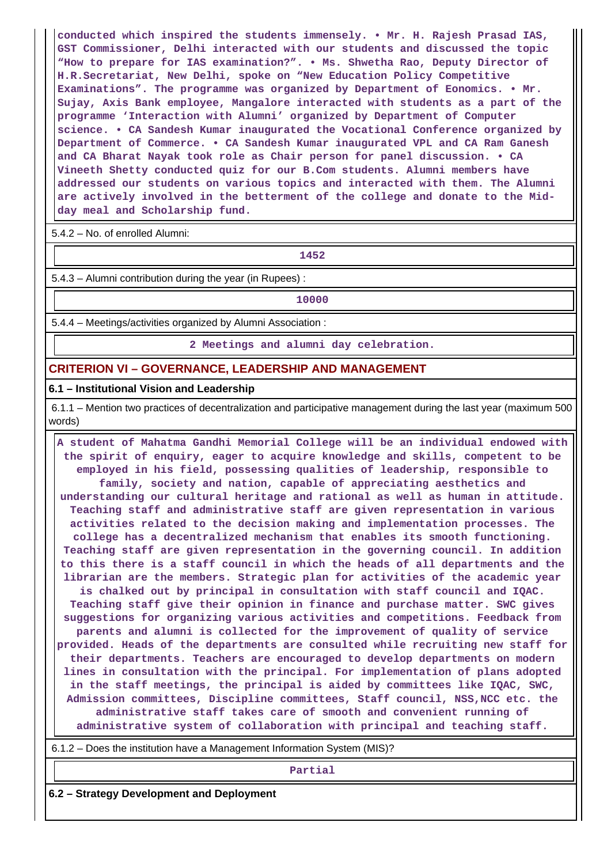**conducted which inspired the students immensely. • Mr. H. Rajesh Prasad IAS, GST Commissioner, Delhi interacted with our students and discussed the topic "How to prepare for IAS examination?". • Ms. Shwetha Rao, Deputy Director of H.R.Secretariat, New Delhi, spoke on "New Education Policy Competitive Examinations". The programme was organized by Department of Eonomics. • Mr. Sujay, Axis Bank employee, Mangalore interacted with students as a part of the programme 'Interaction with Alumni' organized by Department of Computer science. • CA Sandesh Kumar inaugurated the Vocational Conference organized by Department of Commerce. • CA Sandesh Kumar inaugurated VPL and CA Ram Ganesh and CA Bharat Nayak took role as Chair person for panel discussion. • CA Vineeth Shetty conducted quiz for our B.Com students. Alumni members have addressed our students on various topics and interacted with them. The Alumni are actively involved in the betterment of the college and donate to the Midday meal and Scholarship fund.**

5.4.2 – No. of enrolled Alumni:

**1452**

5.4.3 – Alumni contribution during the year (in Rupees) :

**10000**

5.4.4 – Meetings/activities organized by Alumni Association :

**2 Meetings and alumni day celebration.**

### **CRITERION VI – GOVERNANCE, LEADERSHIP AND MANAGEMENT**

#### **6.1 – Institutional Vision and Leadership**

 6.1.1 – Mention two practices of decentralization and participative management during the last year (maximum 500 words)

 **A student of Mahatma Gandhi Memorial College will be an individual endowed with the spirit of enquiry, eager to acquire knowledge and skills, competent to be employed in his field, possessing qualities of leadership, responsible to family, society and nation, capable of appreciating aesthetics and understanding our cultural heritage and rational as well as human in attitude. Teaching staff and administrative staff are given representation in various activities related to the decision making and implementation processes. The college has a decentralized mechanism that enables its smooth functioning. Teaching staff are given representation in the governing council. In addition to this there is a staff council in which the heads of all departments and the librarian are the members. Strategic plan for activities of the academic year is chalked out by principal in consultation with staff council and IQAC. Teaching staff give their opinion in finance and purchase matter. SWC gives suggestions for organizing various activities and competitions. Feedback from parents and alumni is collected for the improvement of quality of service provided. Heads of the departments are consulted while recruiting new staff for their departments. Teachers are encouraged to develop departments on modern lines in consultation with the principal. For implementation of plans adopted in the staff meetings, the principal is aided by committees like IQAC, SWC, Admission committees, Discipline committees, Staff council, NSS,NCC etc. the administrative staff takes care of smooth and convenient running of administrative system of collaboration with principal and teaching staff.**

6.1.2 – Does the institution have a Management Information System (MIS)?

**Partial**

**6.2 – Strategy Development and Deployment**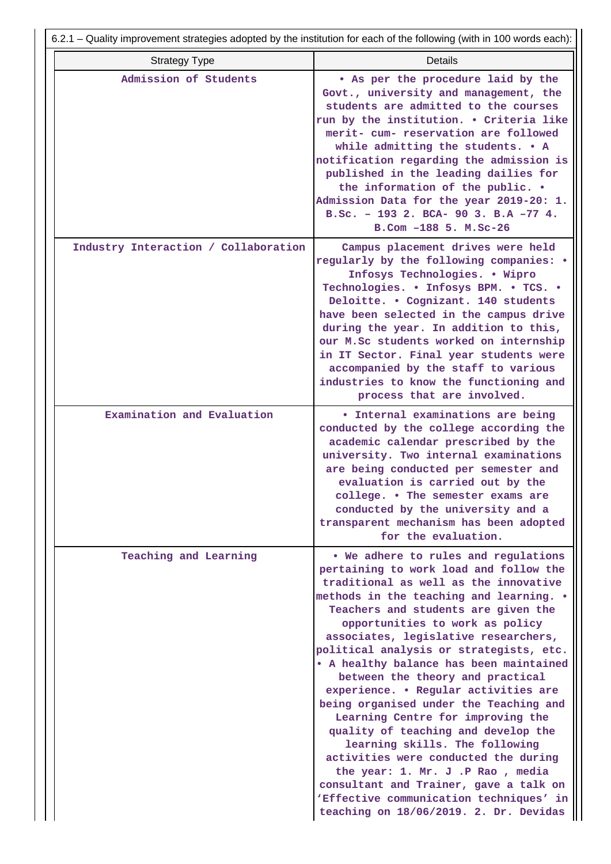|                                      | 6.2.1 – Quality improvement strategies adopted by the institution for each of the following (with in 100 words each):                                                                                                                                                                                                                                                                                                                                                                                                                                                                                                                                                                                                                                                                                                    |
|--------------------------------------|--------------------------------------------------------------------------------------------------------------------------------------------------------------------------------------------------------------------------------------------------------------------------------------------------------------------------------------------------------------------------------------------------------------------------------------------------------------------------------------------------------------------------------------------------------------------------------------------------------------------------------------------------------------------------------------------------------------------------------------------------------------------------------------------------------------------------|
| <b>Strategy Type</b>                 | <b>Details</b>                                                                                                                                                                                                                                                                                                                                                                                                                                                                                                                                                                                                                                                                                                                                                                                                           |
| Admission of Students                | . As per the procedure laid by the<br>Govt., university and management, the<br>students are admitted to the courses<br>run by the institution. . Criteria like<br>merit- cum- reservation are followed<br>while admitting the students. • A<br>notification regarding the admission is<br>published in the leading dailies for<br>the information of the public. .<br>Admission Data for the year 2019-20: 1.<br>B.Sc. - 193 2. BCA- 90 3. B.A -77 4.<br>B.Com -188 5. M.Sc-26                                                                                                                                                                                                                                                                                                                                           |
| Industry Interaction / Collaboration | Campus placement drives were held<br>regularly by the following companies: .<br>Infosys Technologies. . Wipro<br>Technologies. . Infosys BPM. . TCS. .<br>Deloitte. . Cognizant. 140 students<br>have been selected in the campus drive<br>during the year. In addition to this,<br>our M.Sc students worked on internship<br>in IT Sector. Final year students were<br>accompanied by the staff to various<br>industries to know the functioning and<br>process that are involved.                                                                                                                                                                                                                                                                                                                                      |
| Examination and Evaluation           | <b>• Internal examinations are being</b><br>conducted by the college according the<br>academic calendar prescribed by the<br>university. Two internal examinations<br>are being conducted per semester and<br>evaluation is carried out by the<br>college. . The semester exams are<br>conducted by the university and a<br>transparent mechanism has been adopted<br>for the evaluation.                                                                                                                                                                                                                                                                                                                                                                                                                                |
| Teaching and Learning                | . We adhere to rules and regulations<br>pertaining to work load and follow the<br>traditional as well as the innovative<br>methods in the teaching and learning. .<br>Teachers and students are given the<br>opportunities to work as policy<br>associates, legislative researchers,<br>political analysis or strategists, etc.<br>. A healthy balance has been maintained<br>between the theory and practical<br>experience. . Regular activities are<br>being organised under the Teaching and<br>Learning Centre for improving the<br>quality of teaching and develop the<br>learning skills. The following<br>activities were conducted the during<br>the year: 1. Mr. J.P Rao, media<br>consultant and Trainer, gave a talk on<br>'Effective communication techniques' in<br>teaching on 18/06/2019. 2. Dr. Devidas |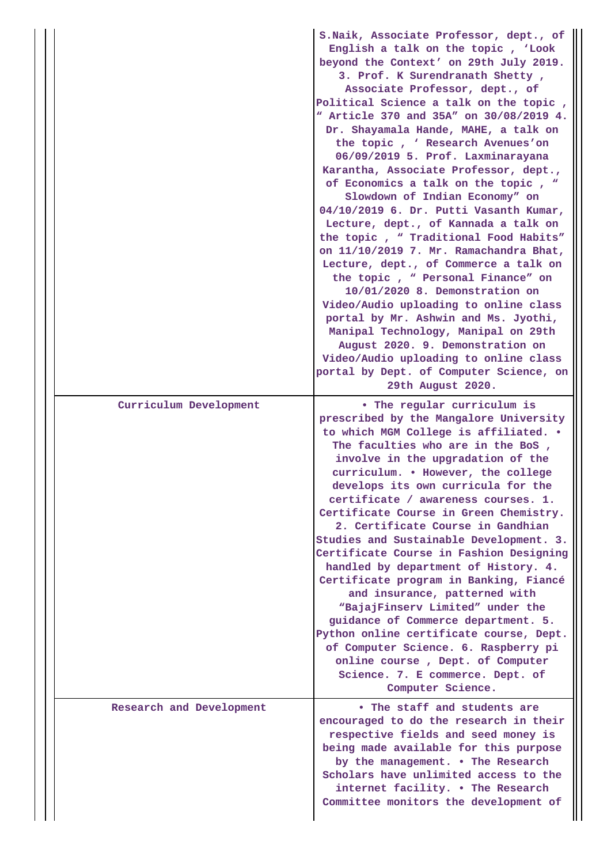|                          | S.Naik, Associate Professor, dept., of<br>English a talk on the topic, 'Look<br>beyond the Context' on 29th July 2019.<br>3. Prof. K Surendranath Shetty,<br>Associate Professor, dept., of<br>Political Science a talk on the topic,<br>" Article 370 and 35A" on 30/08/2019 4.<br>Dr. Shayamala Hande, MAHE, a talk on<br>the topic, ' Research Avenues'on<br>06/09/2019 5. Prof. Laxminarayana<br>Karantha, Associate Professor, dept.,<br>of Economics a talk on the topic, "<br>Slowdown of Indian Economy" on<br>04/10/2019 6. Dr. Putti Vasanth Kumar,<br>Lecture, dept., of Kannada a talk on<br>the topic, " Traditional Food Habits"<br>on 11/10/2019 7. Mr. Ramachandra Bhat,<br>Lecture, dept., of Commerce a talk on<br>the topic, " Personal Finance" on<br>10/01/2020 8. Demonstration on<br>Video/Audio uploading to online class<br>portal by Mr. Ashwin and Ms. Jyothi,<br>Manipal Technology, Manipal on 29th<br>August 2020. 9. Demonstration on<br>Video/Audio uploading to online class<br>portal by Dept. of Computer Science, on<br>29th August 2020. |
|--------------------------|-------------------------------------------------------------------------------------------------------------------------------------------------------------------------------------------------------------------------------------------------------------------------------------------------------------------------------------------------------------------------------------------------------------------------------------------------------------------------------------------------------------------------------------------------------------------------------------------------------------------------------------------------------------------------------------------------------------------------------------------------------------------------------------------------------------------------------------------------------------------------------------------------------------------------------------------------------------------------------------------------------------------------------------------------------------------------------|
| Curriculum Development   | • The regular curriculum is                                                                                                                                                                                                                                                                                                                                                                                                                                                                                                                                                                                                                                                                                                                                                                                                                                                                                                                                                                                                                                                   |
|                          | prescribed by the Mangalore University<br>to which MGM College is affiliated. .<br>The faculties who are in the BoS,<br>involve in the upgradation of the<br>curriculum. . However, the college<br>develops its own curricula for the<br>certificate / awareness courses. 1.<br>Certificate Course in Green Chemistry.<br>2. Certificate Course in Gandhian<br>Studies and Sustainable Development. 3.<br>Certificate Course in Fashion Designing<br>handled by department of History. 4.<br>Certificate program in Banking, Fiancé<br>and insurance, patterned with<br>"BajajFinserv Limited" under the<br>guidance of Commerce department. 5.<br>Python online certificate course, Dept.<br>of Computer Science. 6. Raspberry pi<br>online course, Dept. of Computer<br>Science. 7. E commerce. Dept. of<br>Computer Science.                                                                                                                                                                                                                                               |
| Research and Development | • The staff and students are<br>encouraged to do the research in their<br>respective fields and seed money is<br>being made available for this purpose<br>by the management. . The Research<br>Scholars have unlimited access to the<br>internet facility. . The Research<br>Committee monitors the development of                                                                                                                                                                                                                                                                                                                                                                                                                                                                                                                                                                                                                                                                                                                                                            |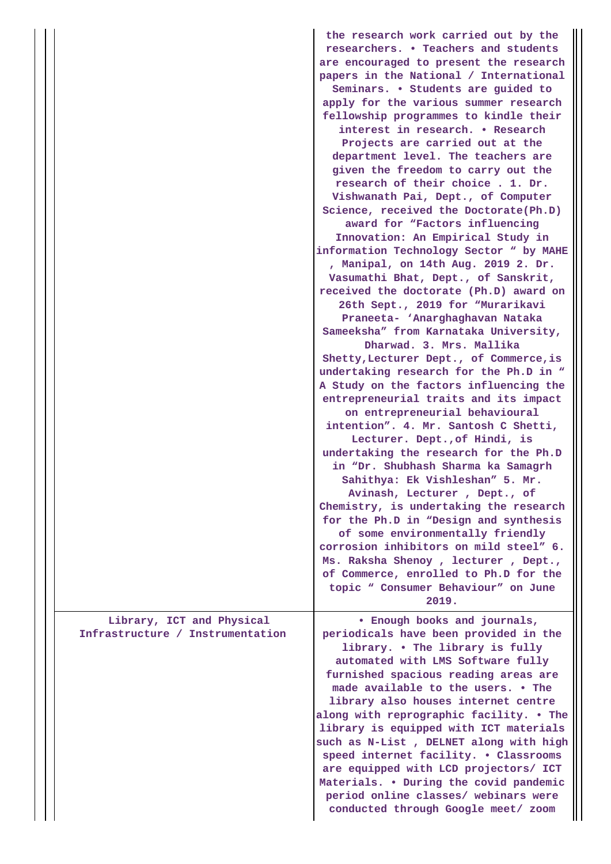|                                  | the research work carried out by the<br>researchers. • Teachers and students<br>are encouraged to present the research<br>papers in the National / International<br>Seminars. • Students are guided to<br>apply for the various summer research<br>fellowship programmes to kindle their<br>interest in research. . Research<br>Projects are carried out at the<br>department level. The teachers are<br>given the freedom to carry out the<br>research of their choice. 1. Dr.<br>Vishwanath Pai, Dept., of Computer<br>Science, received the Doctorate(Ph.D)<br>award for "Factors influencing<br>Innovation: An Empirical Study in<br>information Technology Sector " by MAHE<br>, Manipal, on 14th Aug. 2019 2. Dr.<br>Vasumathi Bhat, Dept., of Sanskrit,<br>received the doctorate (Ph.D) award on<br>26th Sept., 2019 for "Murarikavi<br>Praneeta- 'Anarghaghavan Nataka<br>Sameeksha" from Karnataka University,<br>Dharwad. 3. Mrs. Mallika<br>Shetty, Lecturer Dept., of Commerce, is<br>undertaking research for the Ph.D in "<br>A Study on the factors influencing the<br>entrepreneurial traits and its impact<br>on entrepreneurial behavioural<br>intention". 4. Mr. Santosh C Shetti,<br>Lecturer. Dept., of Hindi, is<br>undertaking the research for the Ph.D<br>in "Dr. Shubhash Sharma ka Samagrh<br>Sahithya: Ek Vishleshan" 5. Mr.<br>Avinash, Lecturer, Dept., of<br>Chemistry, is undertaking the research<br>for the Ph.D in "Design and synthesis<br>of some environmentally friendly<br>corrosion inhibitors on mild steel" 6.<br>Ms. Raksha Shenoy, lecturer, Dept.,<br>of Commerce, enrolled to Ph.D for the<br>topic " Consumer Behaviour" on June<br>2019. |
|----------------------------------|--------------------------------------------------------------------------------------------------------------------------------------------------------------------------------------------------------------------------------------------------------------------------------------------------------------------------------------------------------------------------------------------------------------------------------------------------------------------------------------------------------------------------------------------------------------------------------------------------------------------------------------------------------------------------------------------------------------------------------------------------------------------------------------------------------------------------------------------------------------------------------------------------------------------------------------------------------------------------------------------------------------------------------------------------------------------------------------------------------------------------------------------------------------------------------------------------------------------------------------------------------------------------------------------------------------------------------------------------------------------------------------------------------------------------------------------------------------------------------------------------------------------------------------------------------------------------------------------------------------------------------------------------------------------------------------------|
| Library, ICT and Physical        | • Enough books and journals,                                                                                                                                                                                                                                                                                                                                                                                                                                                                                                                                                                                                                                                                                                                                                                                                                                                                                                                                                                                                                                                                                                                                                                                                                                                                                                                                                                                                                                                                                                                                                                                                                                                               |
| Infrastructure / Instrumentation | periodicals have been provided in the<br>library. . The library is fully<br>automated with LMS Software fully<br>furnished spacious reading areas are<br>made available to the users. . The<br>library also houses internet centre<br>along with reprographic facility. . The<br>library is equipped with ICT materials<br>such as N-List, DELNET along with high<br>speed internet facility. . Classrooms<br>are equipped with LCD projectors/ ICT<br>Materials. . During the covid pandemic<br>period online classes/ webinars were<br>conducted through Google meet/ zoom                                                                                                                                                                                                                                                                                                                                                                                                                                                                                                                                                                                                                                                                                                                                                                                                                                                                                                                                                                                                                                                                                                               |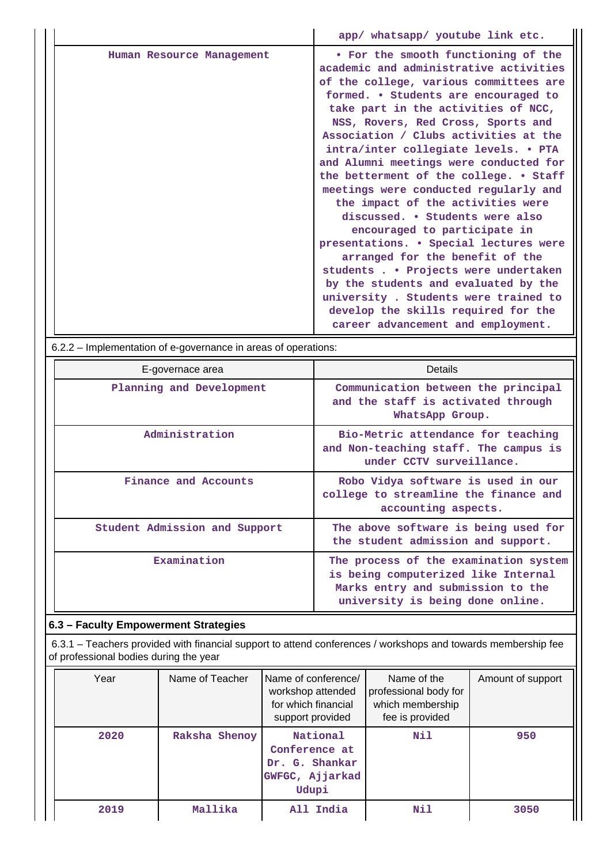|                           | app/ whatsapp/ youtube link etc.                                                                                                                                                                                                                                                                                                                                                                                                                                                                                                                                                                                                                                                                                                                                                                                                                  |
|---------------------------|---------------------------------------------------------------------------------------------------------------------------------------------------------------------------------------------------------------------------------------------------------------------------------------------------------------------------------------------------------------------------------------------------------------------------------------------------------------------------------------------------------------------------------------------------------------------------------------------------------------------------------------------------------------------------------------------------------------------------------------------------------------------------------------------------------------------------------------------------|
| Human Resource Management | • For the smooth functioning of the<br>academic and administrative activities<br>of the college, various committees are<br>formed. • Students are encouraged to<br>take part in the activities of NCC,<br>NSS, Rovers, Red Cross, Sports and<br>Association / Clubs activities at the<br>intra/inter collegiate levels. • PTA<br>and Alumni meetings were conducted for<br>the betterment of the college. . Staff<br>meetings were conducted regularly and<br>the impact of the activities were<br>discussed. • Students were also<br>encouraged to participate in<br>presentations. • Special lectures were<br>arranged for the benefit of the<br>students Projects were undertaken<br>by the students and evaluated by the<br>university. Students were trained to<br>develop the skills required for the<br>career advancement and employment. |

6.2.2 – Implementation of e-governance in areas of operations:

| E-governace area              | Details                                                                                                                                               |
|-------------------------------|-------------------------------------------------------------------------------------------------------------------------------------------------------|
| Planning and Development      | Communication between the principal<br>and the staff is activated through<br>WhatsApp Group.                                                          |
| Administration                | Bio-Metric attendance for teaching<br>and Non-teaching staff. The campus is<br>under CCTV surveillance.                                               |
| Finance and Accounts          | Robo Vidya software is used in our<br>college to streamline the finance and<br>accounting aspects.                                                    |
| Student Admission and Support | The above software is being used for<br>the student admission and support.                                                                            |
| Examination                   | The process of the examination system<br>is being computerized like Internal<br>Marks entry and submission to the<br>university is being done online. |

# **6.3 – Faculty Empowerment Strategies**

 6.3.1 – Teachers provided with financial support to attend conferences / workshops and towards membership fee of professional bodies during the year

| Year | Name of Teacher | Name of conference/<br>workshop attended<br>for which financial<br>support provided | Name of the<br>professional body for<br>which membership<br>fee is provided | Amount of support |
|------|-----------------|-------------------------------------------------------------------------------------|-----------------------------------------------------------------------------|-------------------|
| 2020 | Raksha Shenoy   | National<br>Conference at<br>Dr. G. Shankar<br>GWFGC, Ajjarkad<br>Udupi             | Nil                                                                         | 950               |
| 2019 | Mallika         | All India                                                                           | Nil                                                                         | 3050              |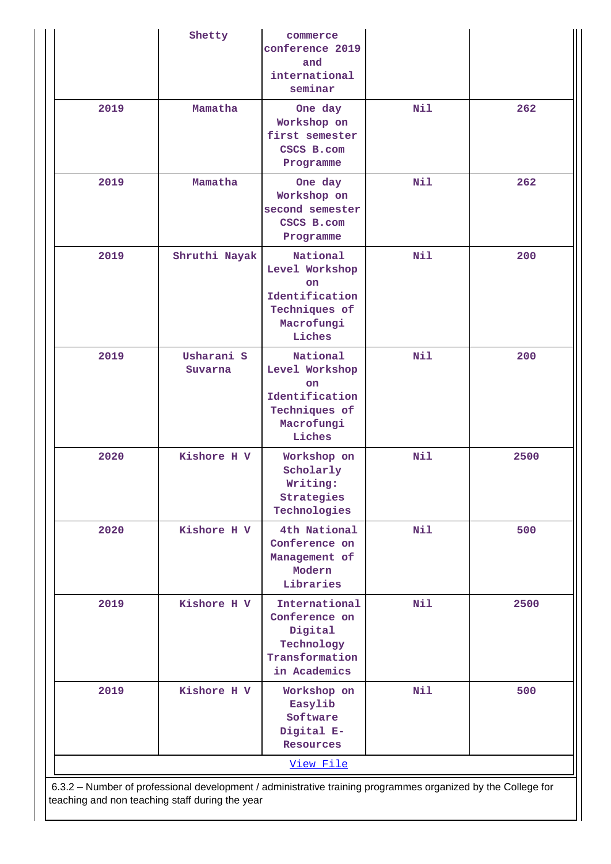|      | Shetty                | commerce<br>conference 2019<br>and<br>international<br>seminar                                     |     |      |
|------|-----------------------|----------------------------------------------------------------------------------------------------|-----|------|
| 2019 | Mamatha               | One day<br>Workshop on<br>first semester<br>CSCS B.com<br>Programme                                | Nil | 262  |
| 2019 | Mamatha               | One day<br>Workshop on<br>second semester<br>CSCS B.com<br>Programme                               | Nil | 262  |
| 2019 | Shruthi Nayak         | National<br>Level Workshop<br><b>on</b><br>Identification<br>Techniques of<br>Macrofungi<br>Liches | Nil | 200  |
| 2019 | Usharani S<br>Suvarna | National<br>Level Workshop<br><b>on</b><br>Identification<br>Techniques of<br>Macrofungi<br>Liches | Nil | 200  |
| 2020 | Kishore H V           | Workshop on<br>Scholarly<br>Writing:<br>Strategies<br>Technologies                                 | Nil | 2500 |
| 2020 | Kishore H V           | 4th National<br>Conference on<br>Management of<br>Modern<br>Libraries                              | Nil | 500  |
| 2019 | Kishore H V           | International<br>Conference on<br>Digital<br>Technology<br>Transformation<br>in Academics          | Nil | 2500 |
| 2019 | Kishore H V           | Workshop on<br>Easylib<br>Software<br>Digital E-<br><b>Resources</b>                               | Nil | 500  |
|      |                       | View File                                                                                          |     |      |

teaching and non teaching staff during the year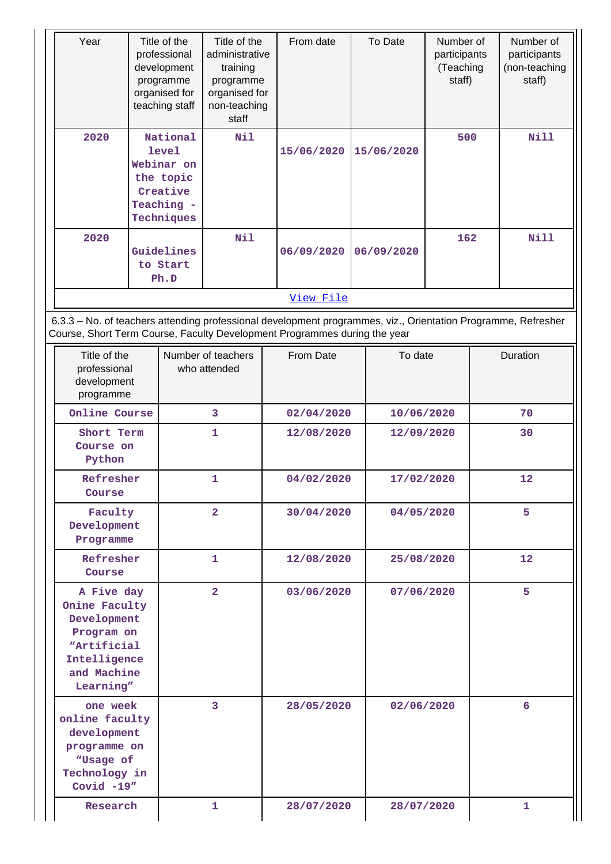| Year                                                                                                                                                                                       | Title of the<br>professional<br>development<br>programme<br>organised for<br>teaching staff | Title of the<br>administrative<br>training<br>programme<br>organised for<br>non-teaching<br>staff | From date                | To Date                  | Number of<br>participants<br>(Teaching<br>staff) | Number of<br>participants<br>(non-teaching<br>staff) |
|--------------------------------------------------------------------------------------------------------------------------------------------------------------------------------------------|---------------------------------------------------------------------------------------------|---------------------------------------------------------------------------------------------------|--------------------------|--------------------------|--------------------------------------------------|------------------------------------------------------|
| 2020                                                                                                                                                                                       | National<br><b>level</b><br>Webinar on<br>the topic<br>Creative<br>Teaching -<br>Techniques | Nil                                                                                               | 15/06/2020               | 15/06/2020               | 500                                              | <b>Nill</b>                                          |
| 2020                                                                                                                                                                                       | Guidelines<br>to Start<br>Ph.D                                                              | Nil                                                                                               | 06/09/2020               | 06/09/2020               | 162                                              | <b>Nill</b>                                          |
|                                                                                                                                                                                            |                                                                                             |                                                                                                   | View File                |                          |                                                  |                                                      |
| 6.3.3 - No. of teachers attending professional development programmes, viz., Orientation Programme, Refresher<br>Course, Short Term Course, Faculty Development Programmes during the year |                                                                                             |                                                                                                   |                          |                          |                                                  |                                                      |
| Title of the<br>professional<br>development<br>programme                                                                                                                                   |                                                                                             | Number of teachers<br>who attended                                                                | From Date                | To date                  |                                                  | Duration                                             |
| Online Course                                                                                                                                                                              |                                                                                             | 3                                                                                                 | 02/04/2020               | 10/06/2020               |                                                  | 70                                                   |
| Short Term<br>Course on<br>Python                                                                                                                                                          |                                                                                             | 1                                                                                                 | 12/08/2020               | 12/09/2020               |                                                  | 30                                                   |
| Refresher<br>Course                                                                                                                                                                        |                                                                                             | 1                                                                                                 | 04/02/2020               | 17/02/2020               |                                                  | 12                                                   |
| Faculty<br>Development<br>Programme                                                                                                                                                        |                                                                                             | $\overline{2}$                                                                                    | 30/04/2020               | 04/05/2020               |                                                  | 5.                                                   |
| Refresher<br>Course                                                                                                                                                                        |                                                                                             | 1                                                                                                 | 12/08/2020               | 25/08/2020               |                                                  | 12 <sup>1</sup>                                      |
| A Five day<br>Onine Faculty<br>Development<br>Program on<br>"Artificial<br>Intelligence<br>and Machine<br>Learning"                                                                        |                                                                                             | $\overline{a}$                                                                                    | 03/06/2020               | 07/06/2020               |                                                  | 5                                                    |
| one week<br>online faculty<br>development<br>programme on<br>"Usage of<br>Technology in<br>Covid $-19''$<br>Research                                                                       |                                                                                             | 3<br>1                                                                                            | 28/05/2020<br>28/07/2020 | 02/06/2020<br>28/07/2020 |                                                  | 6<br>1.                                              |
|                                                                                                                                                                                            |                                                                                             |                                                                                                   |                          |                          |                                                  |                                                      |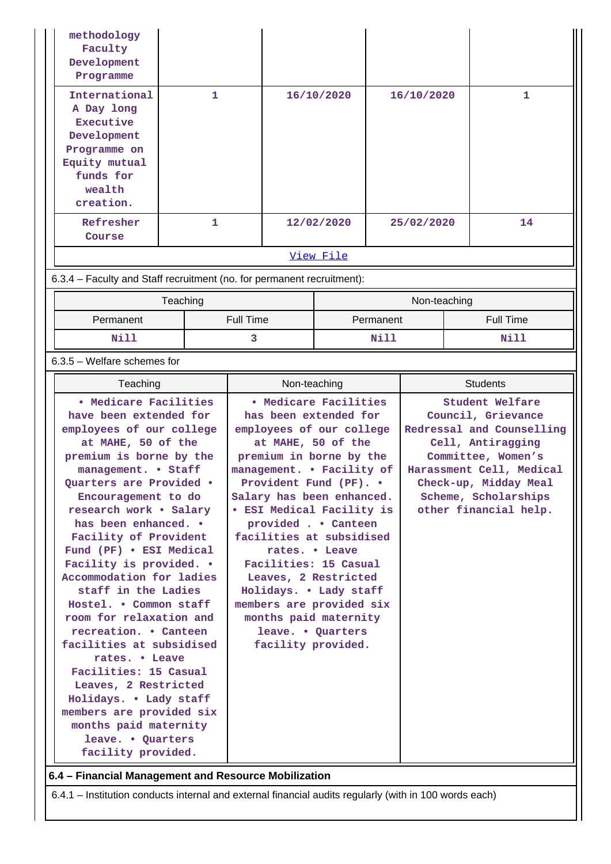| methodology<br>Faculty<br>Development<br>Programme                                                                                  |   |                  |            |    |
|-------------------------------------------------------------------------------------------------------------------------------------|---|------------------|------------|----|
| International<br>A Day long<br><b>Executive</b><br>Development<br>Programme on<br>Equity mutual<br>funds for<br>wealth<br>creation. | 1 | 16/10/2020       | 16/10/2020 | 1  |
| Refresher<br>Course                                                                                                                 | 1 | 12/02/2020       | 25/02/2020 | 14 |
|                                                                                                                                     |   | <u>View File</u> |            |    |

6.3.4 – Faculty and Staff recruitment (no. for permanent recruitment):

|           | Teaching  | Non-teaching |                  |
|-----------|-----------|--------------|------------------|
| Permanent | Full Time | Permanent    | <b>Full Time</b> |
| Nill      |           | Nill         | Nill             |

# 6.3.5 – Welfare schemes for

| Teaching                                                                                                                                                                                                                                                                                                                                                                                                                                                                                                                                                                                                                                                                                         | Non-teaching                                                                                                                                                                                                                                                                                                                                                                                                                                                                                     | <b>Students</b>                                                                                                                                                                                                     |  |  |  |
|--------------------------------------------------------------------------------------------------------------------------------------------------------------------------------------------------------------------------------------------------------------------------------------------------------------------------------------------------------------------------------------------------------------------------------------------------------------------------------------------------------------------------------------------------------------------------------------------------------------------------------------------------------------------------------------------------|--------------------------------------------------------------------------------------------------------------------------------------------------------------------------------------------------------------------------------------------------------------------------------------------------------------------------------------------------------------------------------------------------------------------------------------------------------------------------------------------------|---------------------------------------------------------------------------------------------------------------------------------------------------------------------------------------------------------------------|--|--|--|
| • Medicare Facilities<br>have been extended for<br>employees of our college<br>at MAHE, 50 of the<br>premium is borne by the<br>management. • Staff<br>Quarters are Provided .<br>Encouragement to do<br>research work . Salary<br>has been enhanced. .<br>Facility of Provident<br>Fund (PF) . ESI Medical<br>Facility is provided. .<br>Accommodation for ladies<br>staff in the Ladies<br>Hostel. . Common staff<br>room for relaxation and<br>recreation. • Canteen<br>facilities at subsidised<br>rates. • Leave<br>Facilities: 15 Casual<br>Leaves, 2 Restricted<br>Holidays. . Lady staff<br>members are provided six<br>months paid maternity<br>leave. . Quarters<br>facility provided. | • Medicare Facilities<br>has been extended for<br>employees of our college<br>at MAHE, 50 of the<br>premium in borne by the<br>management. . Facility of<br>Provident Fund (PF). .<br>Salary has been enhanced.<br><b>• ESI Medical Facility is</b><br>provided Canteen<br>facilities at subsidised<br>rates. • Leave<br>Facilities: 15 Casual<br>Leaves, 2 Restricted<br>Holidays. . Lady staff<br>members are provided six<br>months paid maternity<br>leave. • Quarters<br>facility provided. | Student Welfare<br>Council, Grievance<br>Redressal and Counselling<br>Cell, Antiragging<br>Committee, Women's<br>Harassment Cell, Medical<br>Check-up, Midday Meal<br>Scheme, Scholarships<br>other financial help. |  |  |  |
| 6.4 - Financial Management and Resource Mobilization                                                                                                                                                                                                                                                                                                                                                                                                                                                                                                                                                                                                                                             |                                                                                                                                                                                                                                                                                                                                                                                                                                                                                                  |                                                                                                                                                                                                                     |  |  |  |
|                                                                                                                                                                                                                                                                                                                                                                                                                                                                                                                                                                                                                                                                                                  | 6.4.1 – Institution conducts internal and external financial audits regularly (with in 100 words each)                                                                                                                                                                                                                                                                                                                                                                                           |                                                                                                                                                                                                                     |  |  |  |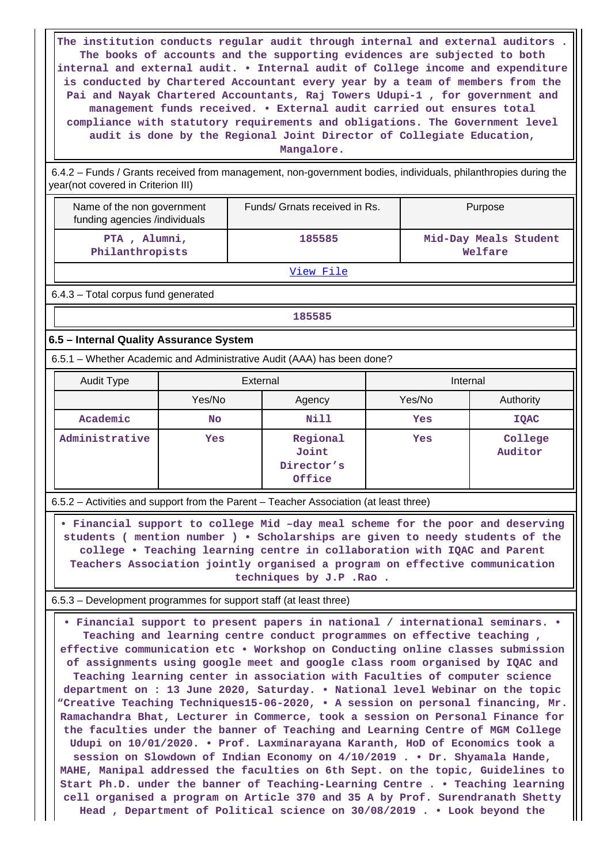**The institution conducts regular audit through internal and external auditors . The books of accounts and the supporting evidences are subjected to both internal and external audit. • Internal audit of College income and expenditure is conducted by Chartered Accountant every year by a team of members from the Pai and Nayak Chartered Accountants, Raj Towers Udupi-1 , for government and management funds received. • External audit carried out ensures total compliance with statutory requirements and obligations. The Government level audit is done by the Regional Joint Director of Collegiate Education, Mangalore.**

 6.4.2 – Funds / Grants received from management, non-government bodies, individuals, philanthropies during the year(not covered in Criterion III)

| Name of the non government<br>funding agencies /individuals | Funds/ Grnats received in Rs. | Purpose                          |
|-------------------------------------------------------------|-------------------------------|----------------------------------|
| PTA, Alumni,<br>Philanthropists                             | 185585                        | Mid-Day Meals Student<br>Welfare |

[View File](https://assessmentonline.naac.gov.in/public/Postacc/Funds_or_Grants/10169_Funds_or_Grants_1618979598.xlsx)

6.4.3 – Total corpus fund generated

## **185585**

### **6.5 – Internal Quality Assurance System**

6.5.1 – Whether Academic and Administrative Audit (AAA) has been done?

| Audit Type     | External  |                                           | Internal |                    |  |
|----------------|-----------|-------------------------------------------|----------|--------------------|--|
|                | Yes/No    | Agency                                    | Yes/No   | Authority          |  |
| Academic       | <b>No</b> | Nill                                      | Yes      | <b>IQAC</b>        |  |
| Administrative | Yes       | Regional<br>Joint<br>Director's<br>Office | Yes      | College<br>Auditor |  |

6.5.2 – Activities and support from the Parent – Teacher Association (at least three)

 **• Financial support to college Mid –day meal scheme for the poor and deserving students ( mention number ) • Scholarships are given to needy students of the college • Teaching learning centre in collaboration with IQAC and Parent Teachers Association jointly organised a program on effective communication techniques by J.P .Rao .**

6.5.3 – Development programmes for support staff (at least three)

 **• Financial support to present papers in national / international seminars. • Teaching and learning centre conduct programmes on effective teaching , effective communication etc • Workshop on Conducting online classes submission of assignments using google meet and google class room organised by IQAC and Teaching learning center in association with Faculties of computer science department on : 13 June 2020, Saturday. • National level Webinar on the topic "Creative Teaching Techniques15-06-2020, • A session on personal financing, Mr. Ramachandra Bhat, Lecturer in Commerce, took a session on Personal Finance for the faculties under the banner of Teaching and Learning Centre of MGM College Udupi on 10/01/2020. • Prof. Laxminarayana Karanth, HoD of Economics took a session on Slowdown of Indian Economy on 4/10/2019 . • Dr. Shyamala Hande, MAHE, Manipal addressed the faculties on 6th Sept. on the topic, Guidelines to Start Ph.D. under the banner of Teaching-Learning Centre . • Teaching learning cell organised a program on Article 370 and 35 A by Prof. Surendranath Shetty Head , Department of Political science on 30/08/2019 . • Look beyond the**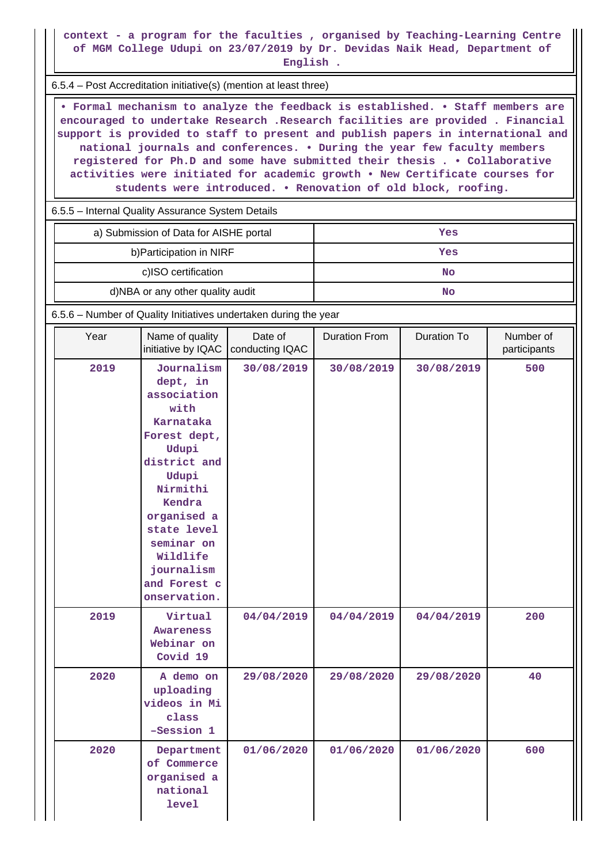**context - a program for the faculties , organised by Teaching-Learning Centre of MGM College Udupi on 23/07/2019 by Dr. Devidas Naik Head, Department of English .**

6.5.4 – Post Accreditation initiative(s) (mention at least three)

 **• Formal mechanism to analyze the feedback is established. • Staff members are encouraged to undertake Research .Research facilities are provided . Financial support is provided to staff to present and publish papers in international and national journals and conferences. • During the year few faculty members registered for Ph.D and some have submitted their thesis . • Collaborative activities were initiated for academic growth • New Certificate courses for students were introduced. • Renovation of old block, roofing.**

6.5.5 – Internal Quality Assurance System Details

| a) Submission of Data for AISHE portal | Yes |
|----------------------------------------|-----|
| b) Participation in NIRF               | Yes |
| c)ISO certification                    | No  |
| d)NBA or any other quality audit       | No  |

6.5.6 – Number of Quality Initiatives undertaken during the year

| Year | Name of quality<br>initiative by IQAC                                                                                                                                                                                                    | Date of<br>conducting IQAC | <b>Duration From</b> | Duration To | Number of<br>participants |  |
|------|------------------------------------------------------------------------------------------------------------------------------------------------------------------------------------------------------------------------------------------|----------------------------|----------------------|-------------|---------------------------|--|
| 2019 | Journalism<br>dept, in<br>association<br>with<br>Karnataka<br>Forest dept,<br>Udupi<br>district and<br>Udupi<br>Nirmithi<br>Kendra<br>organised a<br>state level<br>seminar on<br>Wildlife<br>journalism<br>and Forest c<br>onservation. | 30/08/2019                 | 30/08/2019           | 30/08/2019  | 500                       |  |
| 2019 | Virtual<br><b>Awareness</b><br>Webinar on<br>Covid 19                                                                                                                                                                                    | 04/04/2019                 | 04/04/2019           | 04/04/2019  | 200                       |  |
| 2020 | A demo on<br>uploading<br>videos in Mi<br>class<br>-Session 1                                                                                                                                                                            | 29/08/2020                 | 29/08/2020           | 29/08/2020  | 40                        |  |
| 2020 | Department<br>of Commerce<br>organised a<br>national<br><b>level</b>                                                                                                                                                                     | 01/06/2020                 | 01/06/2020           | 01/06/2020  | 600                       |  |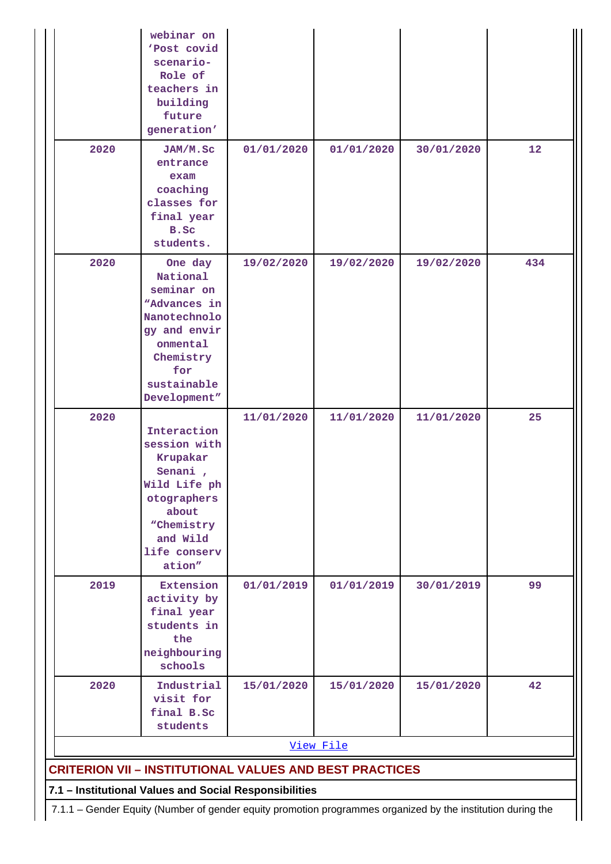|                                                                                                             | webinar on<br>'Post covid<br>scenario-<br>Role of<br>teachers in<br>building<br>future<br>generation'                                            |            |            |            |     |  |  |  |
|-------------------------------------------------------------------------------------------------------------|--------------------------------------------------------------------------------------------------------------------------------------------------|------------|------------|------------|-----|--|--|--|
| 2020                                                                                                        | JAM/M.Sc<br>entrance<br>exam<br>coaching<br>classes for<br>final year<br>B.Sc<br>students.                                                       | 01/01/2020 | 01/01/2020 | 30/01/2020 | 12  |  |  |  |
| 2020                                                                                                        | One day<br>National<br>seminar on<br>"Advances in<br>Nanotechnolo<br>gy and envir<br>onmental<br>Chemistry<br>for<br>sustainable<br>Development" | 19/02/2020 | 19/02/2020 | 19/02/2020 | 434 |  |  |  |
| 2020                                                                                                        | Interaction<br>session with<br>Krupakar<br>Senani,<br>Wild Life ph<br>otographers<br>about<br>"Chemistry<br>and Wild<br>life conserv<br>ation"   | 11/01/2020 | 11/01/2020 | 11/01/2020 | 25  |  |  |  |
| 2019                                                                                                        | Extension<br>activity by<br>final year<br>students in<br>the<br>neighbouring<br>schools                                                          | 01/01/2019 | 01/01/2019 | 30/01/2019 | 99  |  |  |  |
| 2020                                                                                                        | Industrial<br>visit for<br>final B.Sc<br>students                                                                                                | 15/01/2020 | 15/01/2020 | 15/01/2020 | 42  |  |  |  |
|                                                                                                             | View File                                                                                                                                        |            |            |            |     |  |  |  |
| <b>CRITERION VII - INSTITUTIONAL VALUES AND BEST PRACTICES</b>                                              |                                                                                                                                                  |            |            |            |     |  |  |  |
|                                                                                                             | 7.1 - Institutional Values and Social Responsibilities                                                                                           |            |            |            |     |  |  |  |
| 7.1.1 - Gender Equity (Number of gender equity promotion programmes organized by the institution during the |                                                                                                                                                  |            |            |            |     |  |  |  |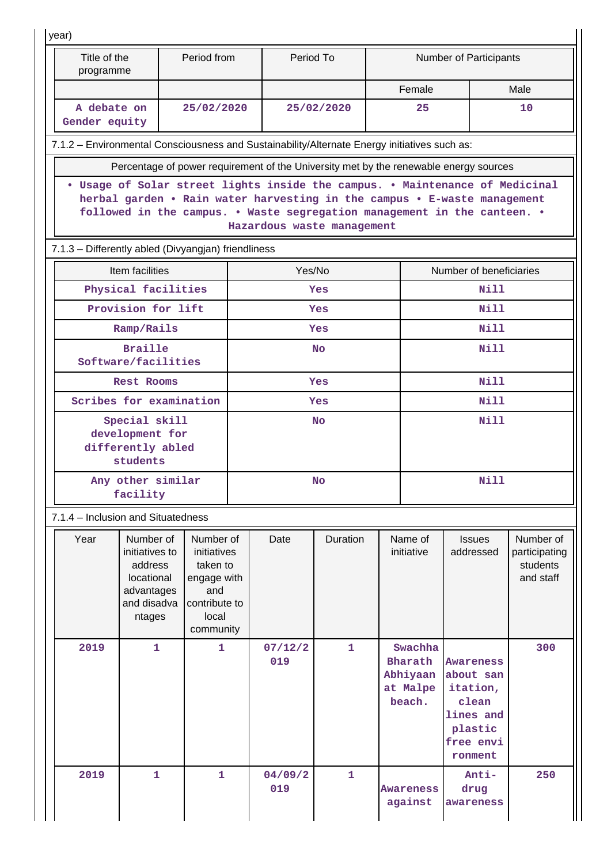| year)                                                                                                                                                                                                                                                            |                                                                                             |  |                                                                                                   |                                     |                |              |                      |                                                      |                                                                                                    |                                                     |  |
|------------------------------------------------------------------------------------------------------------------------------------------------------------------------------------------------------------------------------------------------------------------|---------------------------------------------------------------------------------------------|--|---------------------------------------------------------------------------------------------------|-------------------------------------|----------------|--------------|----------------------|------------------------------------------------------|----------------------------------------------------------------------------------------------------|-----------------------------------------------------|--|
| Title of the<br>programme                                                                                                                                                                                                                                        |                                                                                             |  | Period from                                                                                       | Period To<br>Number of Participants |                |              |                      |                                                      |                                                                                                    |                                                     |  |
|                                                                                                                                                                                                                                                                  |                                                                                             |  |                                                                                                   |                                     |                |              | Female               |                                                      |                                                                                                    | Male                                                |  |
|                                                                                                                                                                                                                                                                  | A debate on<br>25/02/2020<br>Gender equity                                                  |  |                                                                                                   | 25/02/2020                          |                |              | 25                   |                                                      | 10                                                                                                 |                                                     |  |
| 7.1.2 - Environmental Consciousness and Sustainability/Alternate Energy initiatives such as:                                                                                                                                                                     |                                                                                             |  |                                                                                                   |                                     |                |              |                      |                                                      |                                                                                                    |                                                     |  |
| Percentage of power requirement of the University met by the renewable energy sources                                                                                                                                                                            |                                                                                             |  |                                                                                                   |                                     |                |              |                      |                                                      |                                                                                                    |                                                     |  |
| Usage of Solar street lights inside the campus. . Maintenance of Medicinal<br>herbal garden . Rain water harvesting in the campus . E-waste management<br>followed in the campus. . Waste segregation management in the canteen. .<br>Hazardous waste management |                                                                                             |  |                                                                                                   |                                     |                |              |                      |                                                      |                                                                                                    |                                                     |  |
| 7.1.3 - Differently abled (Divyangjan) friendliness                                                                                                                                                                                                              |                                                                                             |  |                                                                                                   |                                     |                |              |                      |                                                      |                                                                                                    |                                                     |  |
|                                                                                                                                                                                                                                                                  | Item facilities                                                                             |  |                                                                                                   |                                     | Yes/No         |              |                      |                                                      | Number of beneficiaries                                                                            |                                                     |  |
|                                                                                                                                                                                                                                                                  | Physical facilities                                                                         |  |                                                                                                   |                                     |                | Yes          |                      |                                                      | <b>Nill</b>                                                                                        |                                                     |  |
|                                                                                                                                                                                                                                                                  | Provision for lift                                                                          |  |                                                                                                   |                                     |                | Yes          |                      |                                                      | Nill                                                                                               |                                                     |  |
|                                                                                                                                                                                                                                                                  | Ramp/Rails                                                                                  |  |                                                                                                   |                                     |                | Yes          |                      |                                                      | Nill                                                                                               |                                                     |  |
|                                                                                                                                                                                                                                                                  | <b>Braille</b><br>Software/facilities                                                       |  |                                                                                                   | <b>No</b>                           |                |              |                      | <b>Nill</b>                                          |                                                                                                    |                                                     |  |
| <b>Rest Rooms</b>                                                                                                                                                                                                                                                |                                                                                             |  | Yes                                                                                               |                                     |                |              | <b>Nill</b>          |                                                      |                                                                                                    |                                                     |  |
| Scribes for examination                                                                                                                                                                                                                                          |                                                                                             |  | <b>Yes</b>                                                                                        |                                     |                |              | Nill                 |                                                      |                                                                                                    |                                                     |  |
|                                                                                                                                                                                                                                                                  | Special skill<br>development for<br>differently abled<br>students                           |  |                                                                                                   | <b>No</b>                           |                |              |                      | <b>Nill</b><br><b>Nill</b>                           |                                                                                                    |                                                     |  |
|                                                                                                                                                                                                                                                                  | Any other similar<br>No<br>facility                                                         |  |                                                                                                   |                                     |                |              |                      |                                                      |                                                                                                    |                                                     |  |
| 7.1.4 - Inclusion and Situatedness                                                                                                                                                                                                                               |                                                                                             |  |                                                                                                   |                                     |                |              |                      |                                                      |                                                                                                    |                                                     |  |
| Year                                                                                                                                                                                                                                                             | Number of<br>initiatives to<br>address<br>locational<br>advantages<br>and disadva<br>ntages |  | Number of<br>initiatives<br>taken to<br>engage with<br>and<br>contribute to<br>local<br>community |                                     | Date           | Duration     |                      | Name of<br>initiative                                | <b>Issues</b><br>addressed                                                                         | Number of<br>participating<br>students<br>and staff |  |
| 2019                                                                                                                                                                                                                                                             | $\mathbf{1}$                                                                                |  | 1                                                                                                 |                                     | 07/12/2<br>019 | $\mathbf{1}$ |                      | Swachha<br>Bharath<br>Abhiyaan<br>at Malpe<br>beach. | <b>Awareness</b><br>about san<br>itation,<br>clean<br>lines and<br>plastic<br>free envi<br>ronment | 300                                                 |  |
| 2019                                                                                                                                                                                                                                                             | $\mathbf{1}$                                                                                |  | 1                                                                                                 |                                     | 04/09/2<br>019 | $\mathbf{1}$ | Awareness<br>against |                                                      | Anti-<br>drug<br>awareness                                                                         | 250                                                 |  |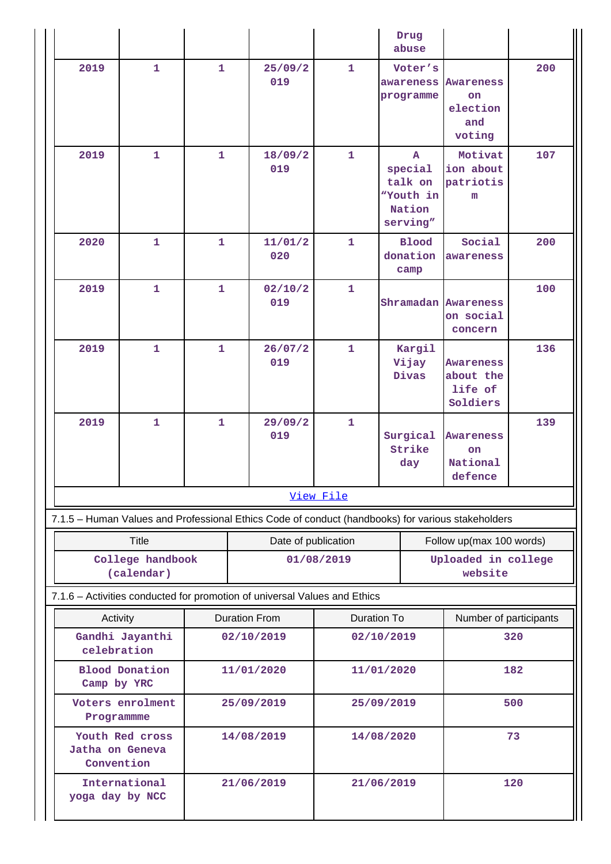|                                                                                                   |                                  |              |             |                     |              |                        | Drug<br>abuse                                                         |                                                            |     |
|---------------------------------------------------------------------------------------------------|----------------------------------|--------------|-------------|---------------------|--------------|------------------------|-----------------------------------------------------------------------|------------------------------------------------------------|-----|
| 2019                                                                                              | $\mathbf{1}$                     | $\mathbf{1}$ |             | 25/09/2<br>019      | $\mathbf{1}$ |                        | Voter's<br>awareness<br>programme                                     | <b>Awareness</b><br><b>on</b><br>election<br>and<br>voting | 200 |
| 2019                                                                                              | $\mathbf 1$                      | $\mathbf{1}$ |             | 18/09/2<br>019      | $\mathbf{1}$ |                        | $\mathbf{A}$<br>special<br>talk on<br>"Youth in<br>Nation<br>serving" | Motivat<br>ion about<br>patriotis<br>m                     | 107 |
| 2020                                                                                              | $\mathbf{1}$                     | $\mathbf{1}$ |             | 11/01/2<br>020      | $\mathbf{1}$ |                        | <b>Blood</b><br>donation<br>camp                                      | Social<br>awareness                                        | 200 |
| 2019                                                                                              | 1                                | $\mathbf{1}$ |             | 02/10/2<br>019      | $\mathbf{1}$ |                        | Shramadan                                                             | <b>Awareness</b><br>on social<br>concern                   | 100 |
| 2019                                                                                              | $\mathbf{1}$                     | $\mathbf{1}$ |             | 26/07/2<br>019      | $\mathbf{1}$ |                        | Kargil<br>Vijay<br>Divas                                              | <b>Awareness</b><br>about the<br>life of<br>Soldiers       | 136 |
| 2019                                                                                              | $\mathbf{1}$                     | $\mathbf{1}$ |             | 29/09/2<br>019      | $\mathbf{1}$ |                        | Surgical<br>Strike<br>day                                             | <b>Awareness</b><br><b>on</b><br>National<br>defence       | 139 |
|                                                                                                   | View File                        |              |             |                     |              |                        |                                                                       |                                                            |     |
| 7.1.5 - Human Values and Professional Ethics Code of conduct (handbooks) for various stakeholders |                                  |              |             |                     |              |                        |                                                                       |                                                            |     |
|                                                                                                   | <b>Title</b>                     |              |             | Date of publication |              |                        |                                                                       | Follow up(max 100 words)                                   |     |
|                                                                                                   | College handbook<br>(calendar)   |              | 01/08/2019  |                     |              |                        | Uploaded in college<br>website                                        |                                                            |     |
| 7.1.6 - Activities conducted for promotion of universal Values and Ethics                         |                                  |              |             |                     |              |                        |                                                                       |                                                            |     |
|                                                                                                   | <b>Duration From</b><br>Activity |              | Duration To |                     |              | Number of participants |                                                                       |                                                            |     |
| celebration                                                                                       | Gandhi Jayanthi                  | 02/10/2019   |             | 02/10/2019          |              | 320                    |                                                                       |                                                            |     |
| Camp by YRC                                                                                       | <b>Blood Donation</b>            | 11/01/2020   |             | 11/01/2020          |              | 182                    |                                                                       |                                                            |     |
| Programmme                                                                                        | Voters enrolment                 | 25/09/2019   |             | 25/09/2019          |              | 500                    |                                                                       |                                                            |     |
| Jatha on Geneva<br>Convention                                                                     | Youth Red cross                  | 14/08/2019   |             | 14/08/2020          |              |                        | 73                                                                    |                                                            |     |
| yoga day by NCC                                                                                   | International                    | 21/06/2019   |             | 21/06/2019          |              | 120                    |                                                                       |                                                            |     |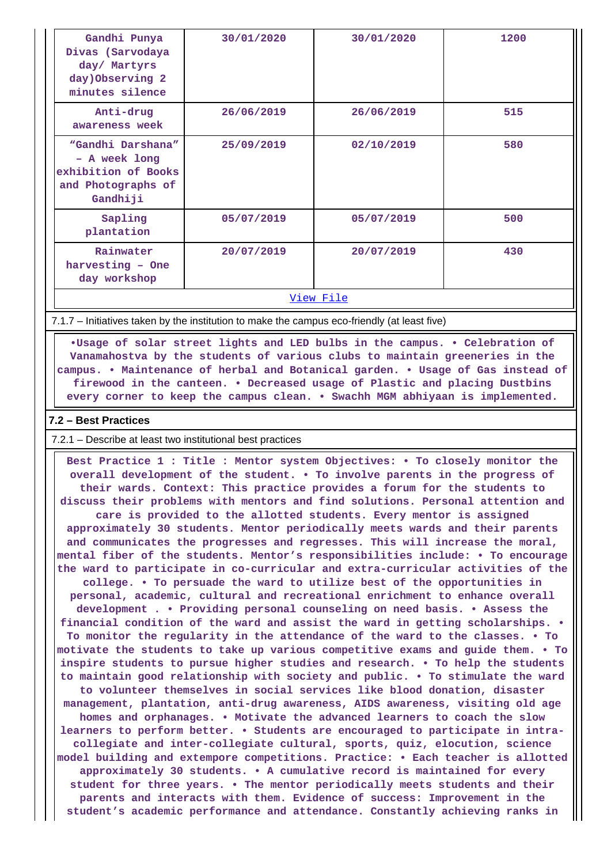| Gandhi Punya<br>Divas (Sarvodaya<br>day/ Martyrs<br>day) Observing 2<br>minutes silence     | 30/01/2020 | 30/01/2020 | 1200 |  |  |  |  |
|---------------------------------------------------------------------------------------------|------------|------------|------|--|--|--|--|
| Anti-drug<br>awareness week                                                                 | 26/06/2019 | 26/06/2019 | 515  |  |  |  |  |
| "Gandhi Darshana"<br>- A week long<br>exhibition of Books<br>and Photographs of<br>Gandhiji | 25/09/2019 | 02/10/2019 | 580  |  |  |  |  |
| Sapling<br>plantation                                                                       | 05/07/2019 | 05/07/2019 | 500  |  |  |  |  |
| Rainwater<br>harvesting - One<br>day workshop                                               | 20/07/2019 | 20/07/2019 | 430  |  |  |  |  |
| View File                                                                                   |            |            |      |  |  |  |  |

7.1.7 – Initiatives taken by the institution to make the campus eco-friendly (at least five)

 **•Usage of solar street lights and LED bulbs in the campus. • Celebration of Vanamahostva by the students of various clubs to maintain greeneries in the campus. • Maintenance of herbal and Botanical garden. • Usage of Gas instead of firewood in the canteen. • Decreased usage of Plastic and placing Dustbins every corner to keep the campus clean. • Swachh MGM abhiyaan is implemented.**

#### **7.2 – Best Practices**

7.2.1 – Describe at least two institutional best practices

 **Best Practice 1 : Title : Mentor system Objectives: • To closely monitor the overall development of the student. • To involve parents in the progress of their wards. Context: This practice provides a forum for the students to discuss their problems with mentors and find solutions. Personal attention and care is provided to the allotted students. Every mentor is assigned approximately 30 students. Mentor periodically meets wards and their parents and communicates the progresses and regresses. This will increase the moral, mental fiber of the students. Mentor's responsibilities include: • To encourage the ward to participate in co-curricular and extra-curricular activities of the college. • To persuade the ward to utilize best of the opportunities in personal, academic, cultural and recreational enrichment to enhance overall development . • Providing personal counseling on need basis. • Assess the financial condition of the ward and assist the ward in getting scholarships. • To monitor the regularity in the attendance of the ward to the classes. • To motivate the students to take up various competitive exams and guide them. • To inspire students to pursue higher studies and research. • To help the students to maintain good relationship with society and public. • To stimulate the ward to volunteer themselves in social services like blood donation, disaster management, plantation, anti-drug awareness, AIDS awareness, visiting old age homes and orphanages. • Motivate the advanced learners to coach the slow learners to perform better. • Students are encouraged to participate in intracollegiate and inter-collegiate cultural, sports, quiz, elocution, science model building and extempore competitions. Practice: • Each teacher is allotted approximately 30 students. • A cumulative record is maintained for every student for three years. • The mentor periodically meets students and their parents and interacts with them. Evidence of success: Improvement in the student's academic performance and attendance. Constantly achieving ranks in**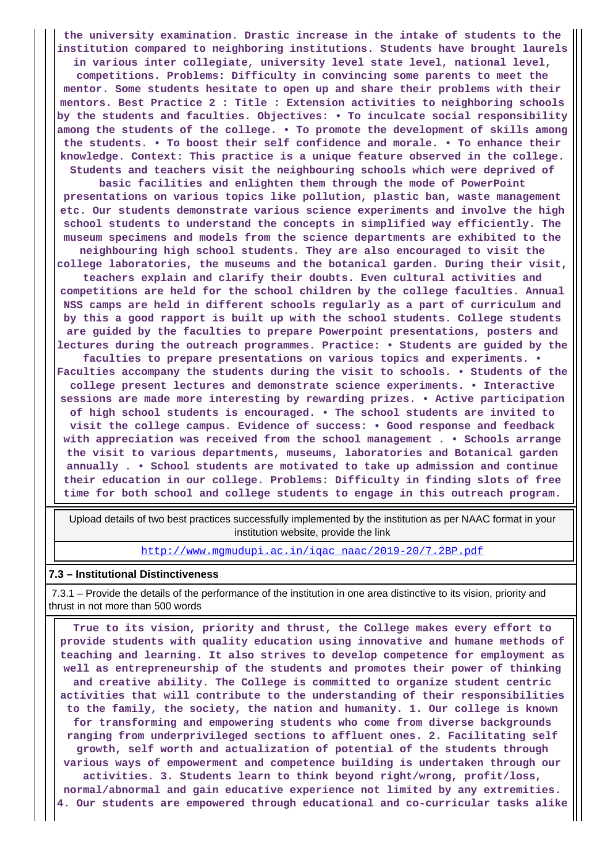**the university examination. Drastic increase in the intake of students to the institution compared to neighboring institutions. Students have brought laurels in various inter collegiate, university level state level, national level, competitions. Problems: Difficulty in convincing some parents to meet the mentor. Some students hesitate to open up and share their problems with their mentors. Best Practice 2 : Title : Extension activities to neighboring schools by the students and faculties. Objectives: • To inculcate social responsibility among the students of the college. • To promote the development of skills among the students. • To boost their self confidence and morale. • To enhance their knowledge. Context: This practice is a unique feature observed in the college. Students and teachers visit the neighbouring schools which were deprived of basic facilities and enlighten them through the mode of PowerPoint presentations on various topics like pollution, plastic ban, waste management etc. Our students demonstrate various science experiments and involve the high school students to understand the concepts in simplified way efficiently. The museum specimens and models from the science departments are exhibited to the neighbouring high school students. They are also encouraged to visit the college laboratories, the museums and the botanical garden. During their visit, teachers explain and clarify their doubts. Even cultural activities and competitions are held for the school children by the college faculties. Annual NSS camps are held in different schools regularly as a part of curriculum and by this a good rapport is built up with the school students. College students are guided by the faculties to prepare Powerpoint presentations, posters and lectures during the outreach programmes. Practice: • Students are guided by the faculties to prepare presentations on various topics and experiments. • Faculties accompany the students during the visit to schools. • Students of the college present lectures and demonstrate science experiments. • Interactive sessions are made more interesting by rewarding prizes. • Active participation of high school students is encouraged. • The school students are invited to visit the college campus. Evidence of success: • Good response and feedback with appreciation was received from the school management . • Schools arrange the visit to various departments, museums, laboratories and Botanical garden annually . • School students are motivated to take up admission and continue their education in our college. Problems: Difficulty in finding slots of free time for both school and college students to engage in this outreach program.**

 Upload details of two best practices successfully implemented by the institution as per NAAC format in your institution website, provide the link

[http://www.mgmudupi.ac.in/iqac\\_naac/2019-20/7.2BP.pdf](http://www.mgmudupi.ac.in/iqac_naac/2019-20/7.2BP.pdf)

#### **7.3 – Institutional Distinctiveness**

 7.3.1 – Provide the details of the performance of the institution in one area distinctive to its vision, priority and thrust in not more than 500 words

 **True to its vision, priority and thrust, the College makes every effort to provide students with quality education using innovative and humane methods of teaching and learning. It also strives to develop competence for employment as well as entrepreneurship of the students and promotes their power of thinking and creative ability. The College is committed to organize student centric activities that will contribute to the understanding of their responsibilities to the family, the society, the nation and humanity. 1. Our college is known for transforming and empowering students who come from diverse backgrounds ranging from underprivileged sections to affluent ones. 2. Facilitating self growth, self worth and actualization of potential of the students through various ways of empowerment and competence building is undertaken through our activities. 3. Students learn to think beyond right/wrong, profit/loss, normal/abnormal and gain educative experience not limited by any extremities. 4. Our students are empowered through educational and co-curricular tasks alike**